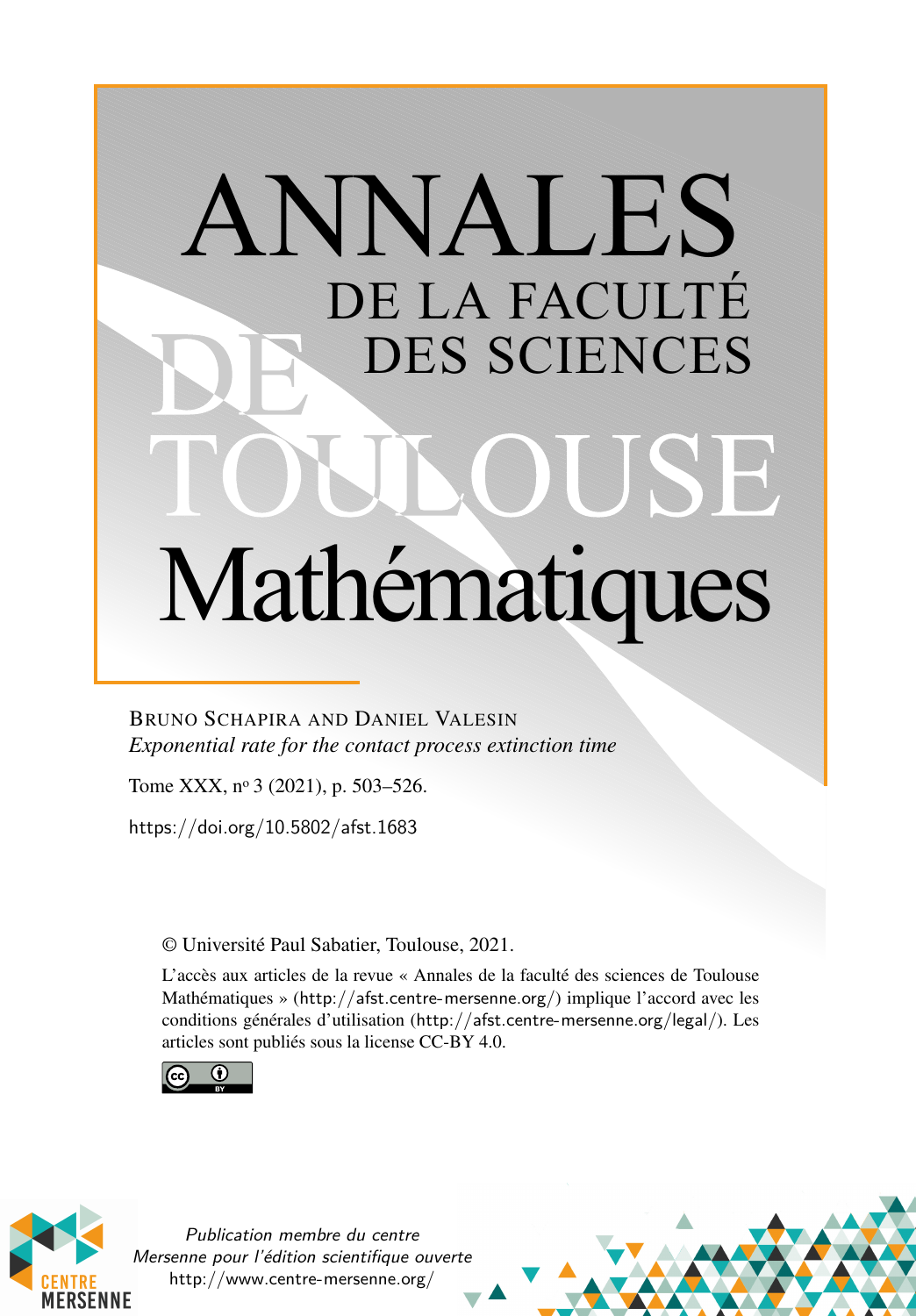# ANNALES DE LA FACULTÉ DES SCIENCES JSE Mathématiques

# BRUNO SCHAPIRA AND DANIEL VALESIN *Exponential rate for the contact process extinction time*

Tome XXX, nº 3 (2021), p. 503–526.

<https://doi.org/10.5802/afst.1683>

© Université Paul Sabatier, Toulouse, 2021.

L'accès aux articles de la revue « Annales de la faculté des sciences de Toulouse Mathématiques » (<http://afst.centre-mersenne.org/>) implique l'accord avec les conditions générales d'utilisation (<http://afst.centre-mersenne.org/legal/>). Les articles sont publiés sous la license CC-BY 4.0.





Publication membre du centre Mersenne pour l'édition scientifique ouverte <http://www.centre-mersenne.org/>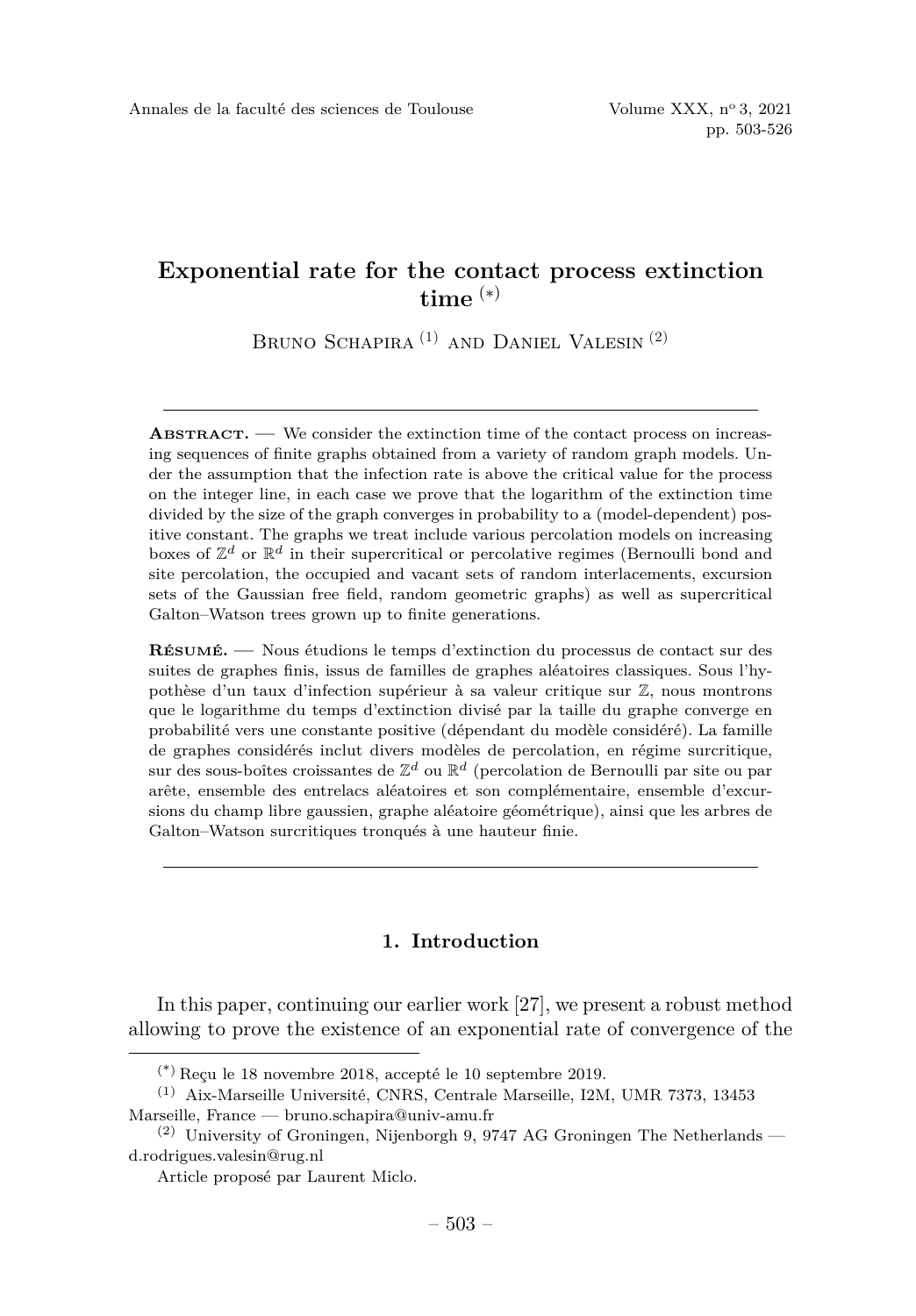# **Exponential rate for the contact process extinction time** (∗)

BRUNO SCHAPIRA<sup>(1)</sup> AND DANIEL VALESIN<sup>(2)</sup>

**ABSTRACT. —** We consider the extinction time of the contact process on increasing sequences of finite graphs obtained from a variety of random graph models. Under the assumption that the infection rate is above the critical value for the process on the integer line, in each case we prove that the logarithm of the extinction time divided by the size of the graph converges in probability to a (model-dependent) positive constant. The graphs we treat include various percolation models on increasing boxes of  $\mathbb{Z}^d$  or  $\mathbb{R}^d$  in their supercritical or percolative regimes (Bernoulli bond and site percolation, the occupied and vacant sets of random interlacements, excursion sets of the Gaussian free field, random geometric graphs) as well as supercritical Galton–Watson trees grown up to finite generations.

**RÉSUMÉ. —** Nous étudions le temps d'extinction du processus de contact sur des suites de graphes finis, issus de familles de graphes aléatoires classiques. Sous l'hypothèse d'un taux d'infection supérieur à sa valeur critique sur Z, nous montrons que le logarithme du temps d'extinction divisé par la taille du graphe converge en probabilité vers une constante positive (dépendant du modèle considéré). La famille de graphes considérés inclut divers modèles de percolation, en régime surcritique, sur des sous-boîtes croissantes de  $\mathbb{Z}^d$  ou  $\mathbb{R}^d$  (percolation de Bernoulli par site ou par arête, ensemble des entrelacs aléatoires et son complémentaire, ensemble d'excursions du champ libre gaussien, graphe aléatoire géométrique), ainsi que les arbres de Galton–Watson surcritiques tronqués à une hauteur finie.

## **1. Introduction**

In this paper, continuing our earlier work [\[27\]](#page-24-0), we present a robust method allowing to prove the existence of an exponential rate of convergence of the

<sup>(\*)</sup> Reçu le 18 novembre 2018, accepté le 10 septembre 2019.

<sup>(1)</sup> Aix-Marseille Université, CNRS, Centrale Marseille, I2M, UMR 7373, 13453 Marseille, France — [bruno.schapira@univ-amu.fr](mailto:bruno.schapira@univ-amu.fr)

 $(2)$  University of Groningen, Nijenborgh 9, 9747 AG Groningen The Netherlands [d.rodrigues.valesin@rug.nl](mailto:d.rodrigues.valesin@rug.nl)

Article proposé par Laurent Miclo.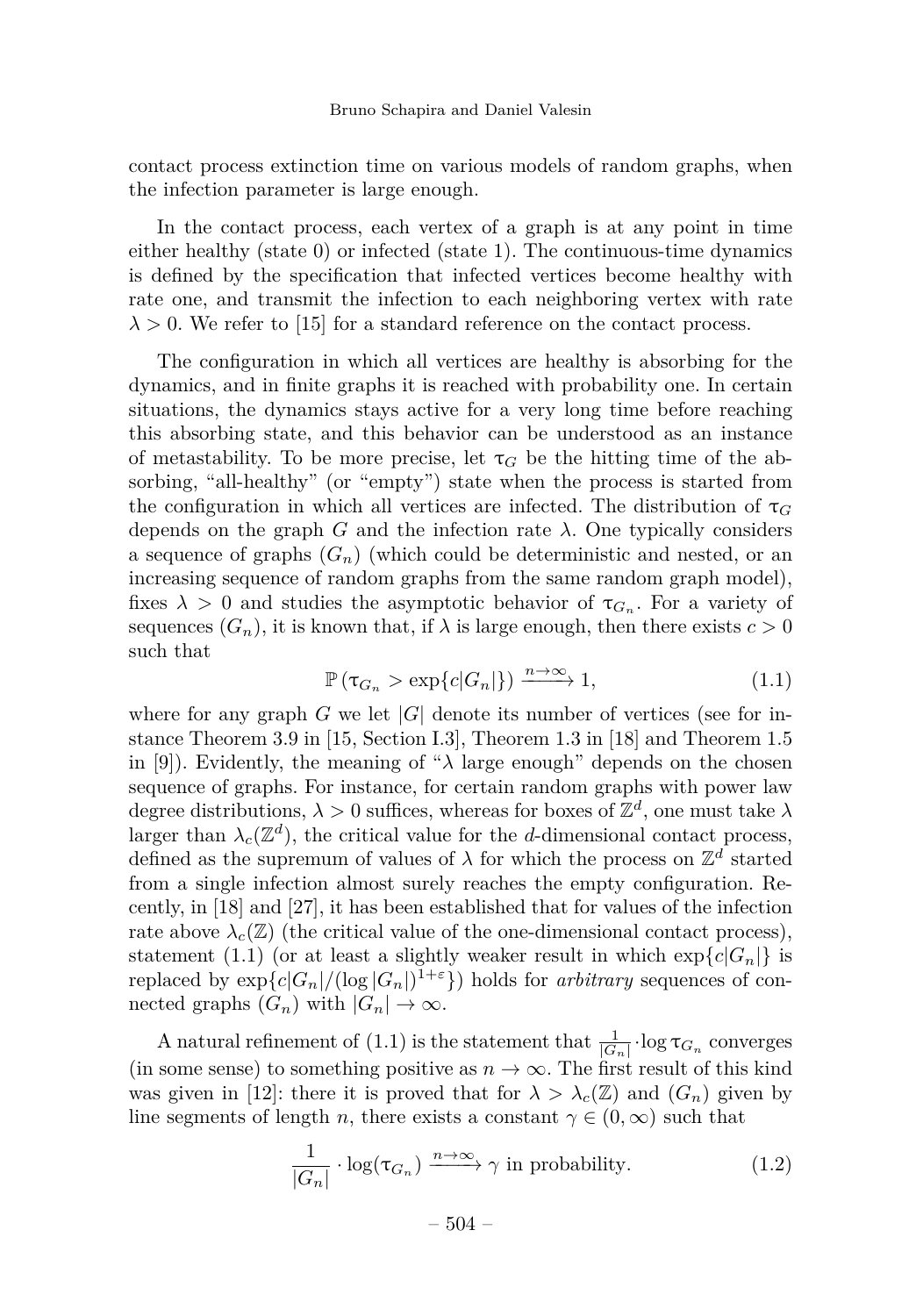contact process extinction time on various models of random graphs, when the infection parameter is large enough.

In the contact process, each vertex of a graph is at any point in time either healthy (state 0) or infected (state 1). The continuous-time dynamics is defined by the specification that infected vertices become healthy with rate one, and transmit the infection to each neighboring vertex with rate  $\lambda > 0$ . We refer to [\[15\]](#page-23-0) for a standard reference on the contact process.

The configuration in which all vertices are healthy is absorbing for the dynamics, and in finite graphs it is reached with probability one. In certain situations, the dynamics stays active for a very long time before reaching this absorbing state, and this behavior can be understood as an instance of metastability. To be more precise, let  $\tau_G$  be the hitting time of the absorbing, "all-healthy" (or "empty") state when the process is started from the configuration in which all vertices are infected. The distribution of  $\tau_G$ depends on the graph  $G$  and the infection rate  $\lambda$ . One typically considers a sequence of graphs  $(G_n)$  (which could be deterministic and nested, or an increasing sequence of random graphs from the same random graph model), fixes  $\lambda > 0$  and studies the asymptotic behavior of  $\tau_{G_n}$ . For a variety of sequences  $(G_n)$ , it is known that, if  $\lambda$  is large enough, then there exists  $c > 0$ such that

<span id="page-2-0"></span>
$$
\mathbb{P}\left(\tau_{G_n} > \exp\{c|G_n|\}\right) \xrightarrow{n \to \infty} 1,\tag{1.1}
$$

where for any graph  $G$  we let  $|G|$  denote its number of vertices (see for instance Theorem 3.9 in [\[15,](#page-23-0) Section I.3], Theorem 1.3 in [\[18\]](#page-24-1) and Theorem 1.5 in [\[9\]](#page-23-1)). Evidently, the meaning of " $\lambda$  large enough" depends on the chosen sequence of graphs. For instance, for certain random graphs with power law degree distributions,  $\lambda > 0$  suffices, whereas for boxes of  $\mathbb{Z}^d$ , one must take  $\lambda$ larger than  $\lambda_c(\mathbb{Z}^d)$ , the critical value for the *d*-dimensional contact process, defined as the supremum of values of  $\lambda$  for which the process on  $\mathbb{Z}^d$  started from a single infection almost surely reaches the empty configuration. Recently, in [\[18\]](#page-24-1) and [\[27\]](#page-24-0), it has been established that for values of the infection rate above  $\lambda_c(\mathbb{Z})$  (the critical value of the one-dimensional contact process), statement [\(1.1\)](#page-2-0) (or at least a slightly weaker result in which  $\exp\{c|G_n|\}$  is replaced by  $\exp\{c|G_n|/(\log |G_n|)^{1+\epsilon}\}\)$  holds for *arbitrary* sequences of connected graphs  $(G_n)$  with  $|G_n| \to \infty$ .

A natural refinement of [\(1.1\)](#page-2-0) is the statement that  $\frac{1}{|G_n|} \cdot \log \tau_{G_n}$  converges (in some sense) to something positive as  $n \to \infty$ . The first result of this kind was given in [\[12\]](#page-23-2): there it is proved that for  $\lambda > \lambda_c(\mathbb{Z})$  and  $(G_n)$  given by line segments of length *n*, there exists a constant  $\gamma \in (0, \infty)$  such that

<span id="page-2-1"></span>
$$
\frac{1}{|G_n|} \cdot \log(\tau_{G_n}) \xrightarrow{n \to \infty} \gamma \text{ in probability.}
$$
 (1.2)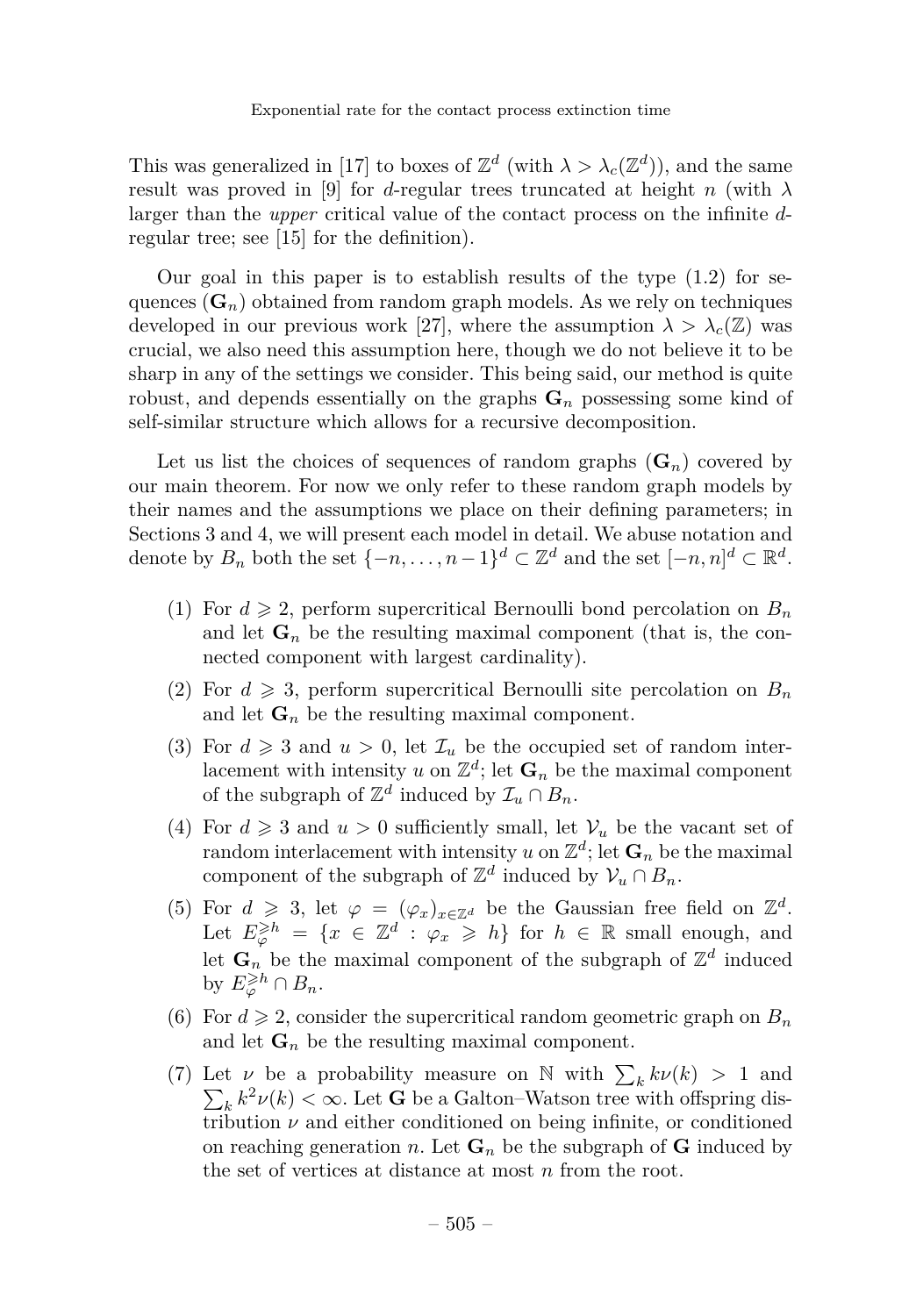This was generalized in [\[17\]](#page-24-2) to boxes of  $\mathbb{Z}^d$  (with  $\lambda > \lambda_c(\mathbb{Z}^d)$ ), and the same result was proved in [\[9\]](#page-23-1) for *d*-regular trees truncated at height *n* (with  $\lambda$ larger than the *upper* critical value of the contact process on the infinite *d*regular tree; see [\[15\]](#page-23-0) for the definition).

Our goal in this paper is to establish results of the type  $(1.2)$  for sequences  $(G_n)$  obtained from random graph models. As we rely on techniques developed in our previous work [\[27\]](#page-24-0), where the assumption  $\lambda > \lambda_c(Z)$  was crucial, we also need this assumption here, though we do not believe it to be sharp in any of the settings we consider. This being said, our method is quite robust, and depends essentially on the graphs  $\mathbf{G}_n$  possessing some kind of self-similar structure which allows for a recursive decomposition.

Let us list the choices of sequences of random graphs  $(G_n)$  covered by our main theorem. For now we only refer to these random graph models by their names and the assumptions we place on their defining parameters; in Sections [3](#page-7-0) and [4,](#page-18-0) we will present each model in detail. We abuse notation and denote by  $B_n$  both the set  $\{-n, \ldots, n-1\}^d \subset \mathbb{Z}^d$  and the set  $[-n, n]^d \subset \mathbb{R}^d$ .

- (1) For  $d \geq 2$ , perform supercritical Bernoulli bond percolation on  $B_n$ and let  $\mathbf{G}_n$  be the resulting maximal component (that is, the connected component with largest cardinality).
- (2) For  $d \geq 3$ , perform supercritical Bernoulli site percolation on  $B_n$ and let  $\mathbf{G}_n$  be the resulting maximal component.
- (3) For  $d \geq 3$  and  $u > 0$ , let  $\mathcal{I}_u$  be the occupied set of random interlacement with intensity *u* on  $\mathbb{Z}^d$ ; let  $\mathbf{G}_n$  be the maximal component of the subgraph of  $\mathbb{Z}^d$  induced by  $\mathcal{I}_u \cap B_n$ .
- (4) For  $d \geq 3$  and  $u > 0$  sufficiently small, let  $\mathcal{V}_u$  be the vacant set of random interlacement with intensity  $u$  on  $\mathbb{Z}^d$ ; let  $\mathbf{G}_n$  be the maximal component of the subgraph of  $\mathbb{Z}^d$  induced by  $\mathcal{V}_u \cap B_n$ .
- (5) For  $d \ge 3$ , let  $\varphi = (\varphi_x)_{x \in \mathbb{Z}^d}$  be the Gaussian free field on  $\mathbb{Z}^d$ . Let  $E_{\varphi}^{\geq h} = \{x \in \mathbb{Z}^d : \varphi_x \geq h\}$  for  $h \in \mathbb{R}$  small enough, and let  $\mathbf{G}_n$  be the maximal component of the subgraph of  $\mathbb{Z}^d$  induced by  $E_{\varphi}^{\geqslant h} \cap B_n$ .
- (6) For  $d \ge 2$ , consider the supercritical random geometric graph on  $B_n$ and let  $\mathbf{G}_n$  be the resulting maximal component.
- (7) Let  $\nu$  be a probability measure on N with  $\sum_{k} k\nu(k) > 1$  and  $\sum_{k} k^2 \nu(k) < \infty$ . Let **G** be a Galton–Watson tree with offspring distribution  $\nu$  and either conditioned on being infinite, or conditioned on reaching generation *n*. Let  $\mathbf{G}_n$  be the subgraph of  $\mathbf{G}$  induced by the set of vertices at distance at most *n* from the root.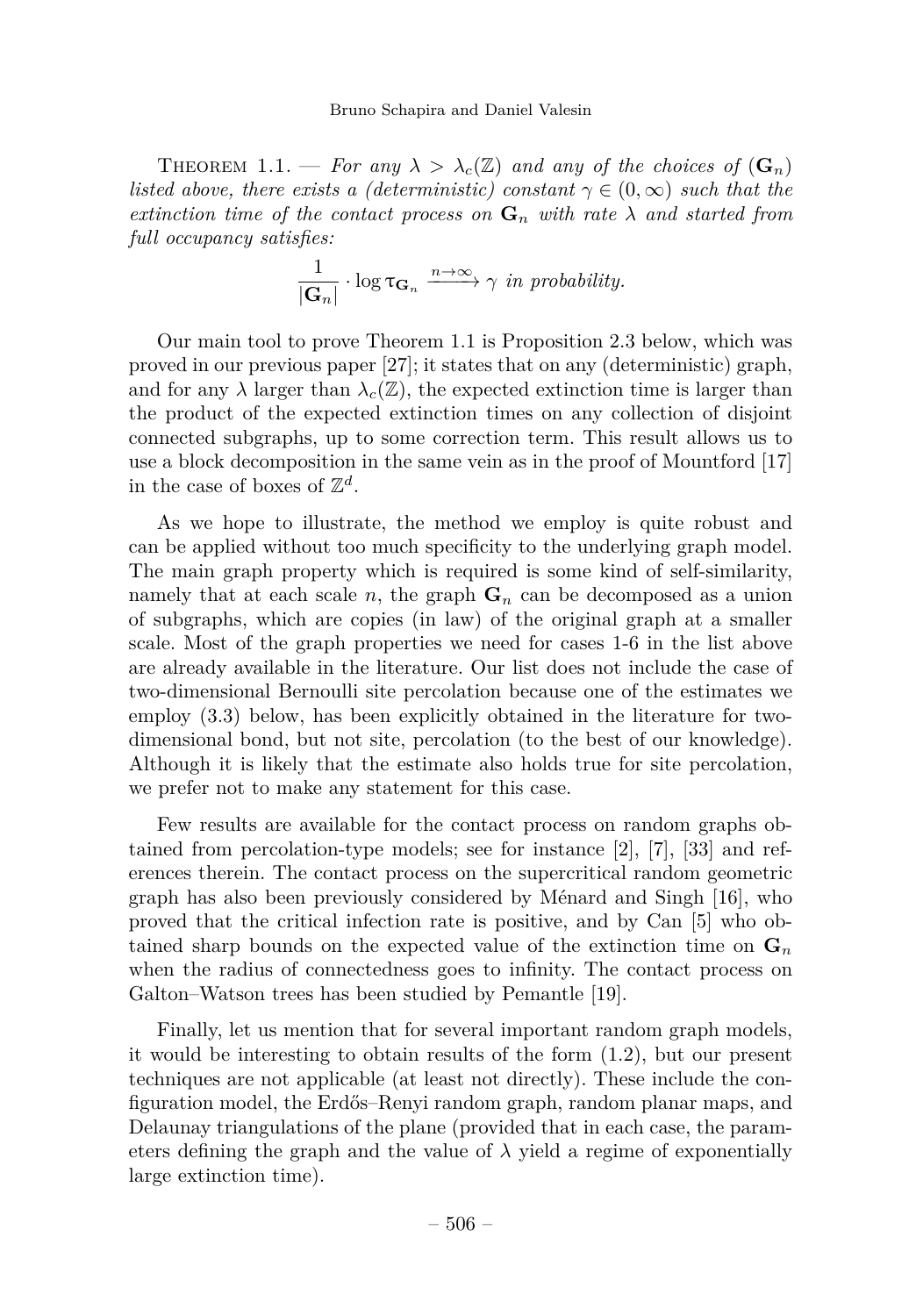<span id="page-4-0"></span>THEOREM 1.1. — For any  $\lambda > \lambda_c(\mathbb{Z})$  and any of the choices of  $(\mathbf{G}_n)$ *listed above, there exists a (deterministic) constant*  $\gamma \in (0, \infty)$  *such that the extinction time of the contact process on*  $\mathbf{G}_n$  *with rate*  $\lambda$  *and started from full occupancy satisfies:*

$$
\frac{1}{|\mathbf{G}_n|} \cdot \log \tau_{\mathbf{G}_n} \xrightarrow{n \to \infty} \gamma \text{ in probability.}
$$

Our main tool to prove Theorem [1.1](#page-4-0) is Proposition [2.3](#page-6-0) below, which was proved in our previous paper [\[27\]](#page-24-0); it states that on any (deterministic) graph, and for any  $\lambda$  larger than  $\lambda_c(\mathbb{Z})$ , the expected extinction time is larger than the product of the expected extinction times on any collection of disjoint connected subgraphs, up to some correction term. This result allows us to use a block decomposition in the same vein as in the proof of Mountford [\[17\]](#page-24-2) in the case of boxes of  $\mathbb{Z}^d$ .

As we hope to illustrate, the method we employ is quite robust and can be applied without too much specificity to the underlying graph model. The main graph property which is required is some kind of self-similarity, namely that at each scale  $n$ , the graph  $\mathbf{G}_n$  can be decomposed as a union of subgraphs, which are copies (in law) of the original graph at a smaller scale. Most of the graph properties we need for cases 1-6 in the list above are already available in the literature. Our list does not include the case of two-dimensional Bernoulli site percolation because one of the estimates we employ [\(3.3\)](#page-8-0) below, has been explicitly obtained in the literature for twodimensional bond, but not site, percolation (to the best of our knowledge). Although it is likely that the estimate also holds true for site percolation, we prefer not to make any statement for this case.

Few results are available for the contact process on random graphs obtained from percolation-type models; see for instance [\[2\]](#page-23-3), [\[7\]](#page-23-4), [\[33\]](#page-24-3) and references therein. The contact process on the supercritical random geometric graph has also been previously considered by Ménard and Singh [\[16\]](#page-23-5), who proved that the critical infection rate is positive, and by Can [\[5\]](#page-23-6) who obtained sharp bounds on the expected value of the extinction time on  $\mathbf{G}_n$ when the radius of connectedness goes to infinity. The contact process on Galton–Watson trees has been studied by Pemantle [\[19\]](#page-24-4).

Finally, let us mention that for several important random graph models, it would be interesting to obtain results of the form [\(1.2\)](#page-2-1), but our present techniques are not applicable (at least not directly). These include the configuration model, the Erdős–Renyi random graph, random planar maps, and Delaunay triangulations of the plane (provided that in each case, the parameters defining the graph and the value of  $\lambda$  yield a regime of exponentially large extinction time).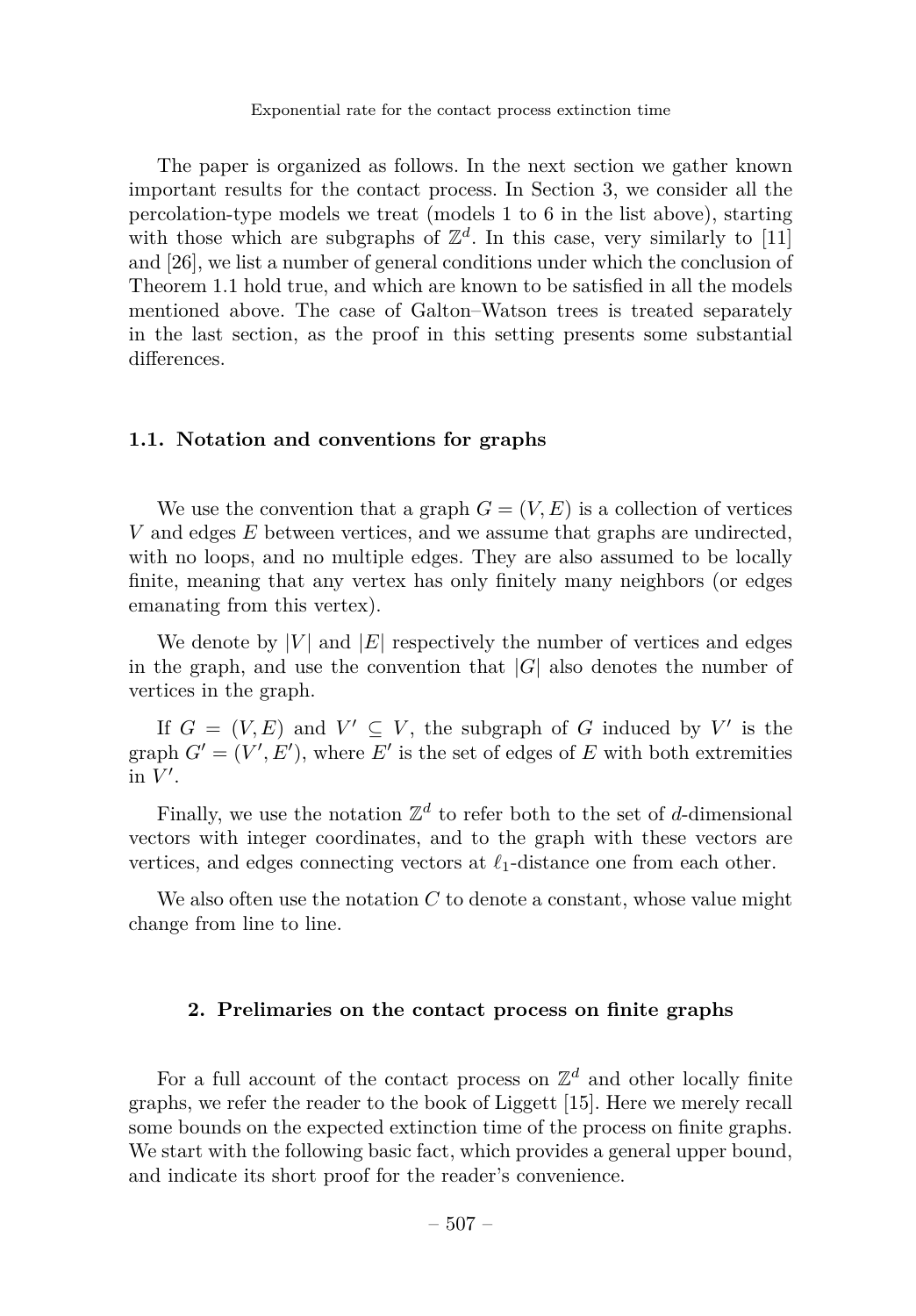The paper is organized as follows. In the next section we gather known important results for the contact process. In Section [3,](#page-7-0) we consider all the percolation-type models we treat (models 1 to 6 in the list above), starting with those which are subgraphs of  $\mathbb{Z}^d$ . In this case, very similarly to [\[11\]](#page-23-7) and [\[26\]](#page-24-5), we list a number of general conditions under which the conclusion of Theorem [1.1](#page-4-0) hold true, and which are known to be satisfied in all the models mentioned above. The case of Galton–Watson trees is treated separately in the last section, as the proof in this setting presents some substantial differences.

#### **1.1. Notation and conventions for graphs**

We use the convention that a graph  $G = (V, E)$  is a collection of vertices *V* and edges *E* between vertices, and we assume that graphs are undirected, with no loops, and no multiple edges. They are also assumed to be locally finite, meaning that any vertex has only finitely many neighbors (or edges emanating from this vertex).

We denote by  $|V|$  and  $|E|$  respectively the number of vertices and edges in the graph, and use the convention that  $|G|$  also denotes the number of vertices in the graph.

If  $G = (V, E)$  and  $V' \subseteq V$ , the subgraph of *G* induced by V' is the graph  $G' = (V', E')$ , where  $E'$  is the set of edges of  $E$  with both extremities in  $V'$ .

Finally, we use the notation  $\mathbb{Z}^d$  to refer both to the set of *d*-dimensional vectors with integer coordinates, and to the graph with these vectors are vertices, and edges connecting vectors at  $\ell_1$ -distance one from each other.

We also often use the notation *C* to denote a constant, whose value might change from line to line.

## **2. Prelimaries on the contact process on finite graphs**

For a full account of the contact process on  $\mathbb{Z}^d$  and other locally finite graphs, we refer the reader to the book of Liggett [\[15\]](#page-23-0). Here we merely recall some bounds on the expected extinction time of the process on finite graphs. We start with the following basic fact, which provides a general upper bound, and indicate its short proof for the reader's convenience.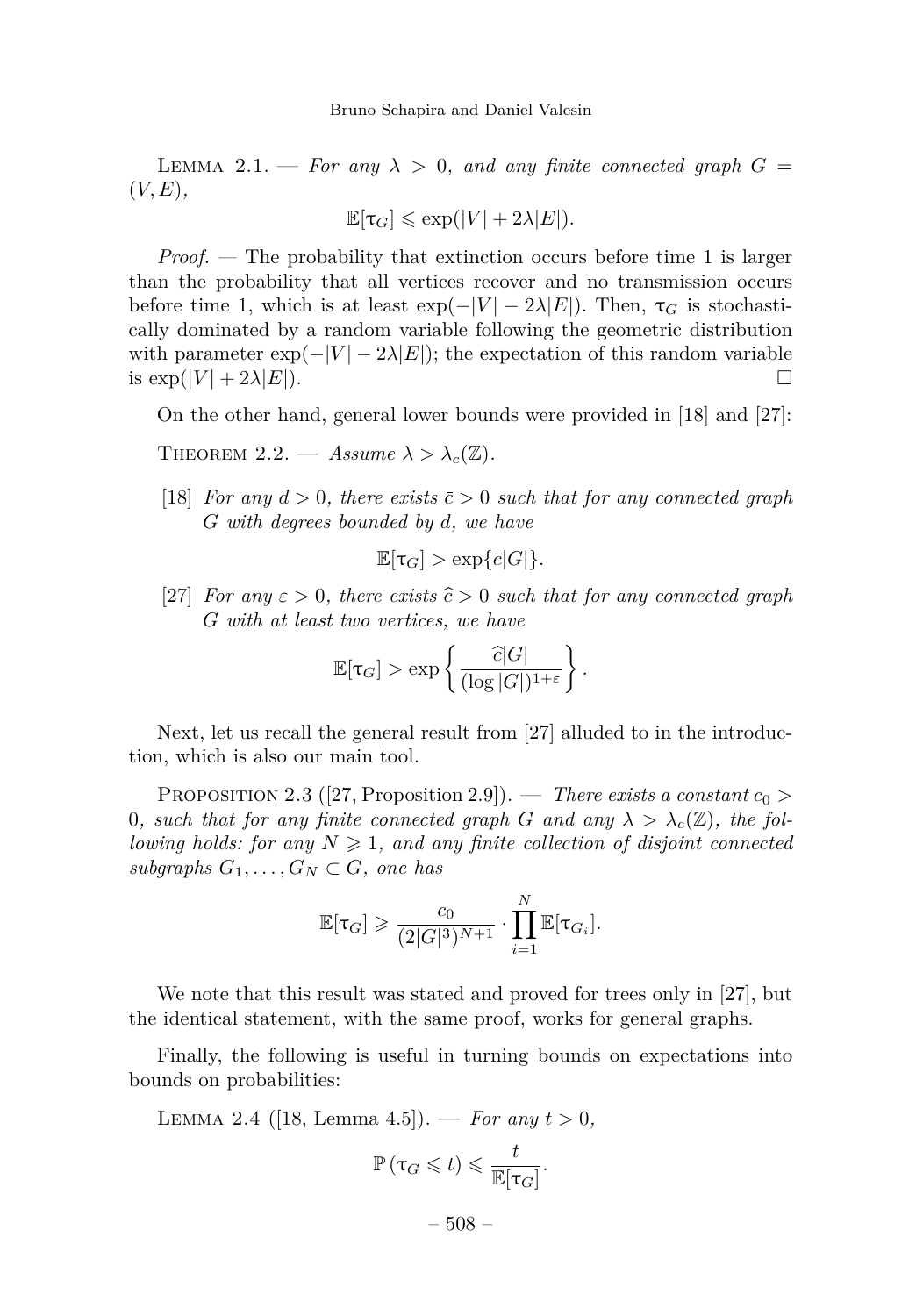<span id="page-6-1"></span>LEMMA 2.1. — For any  $\lambda > 0$ , and any finite connected graph  $G =$ (*V, E*)*,*

$$
\mathbb{E}[\tau_G] \leqslant \exp(|V| + 2\lambda|E|).
$$

*Proof. —* The probability that extinction occurs before time 1 is larger than the probability that all vertices recover and no transmission occurs before time 1, which is at least  $\exp(-|V| - 2\lambda|E|)$ . Then,  $\tau_G$  is stochastically dominated by a random variable following the geometric distribution with parameter  $\exp(-|V| - 2\lambda|E|)$ ; the expectation of this random variable is  $\exp(|V| + 2\lambda|E|)$ .

On the other hand, general lower bounds were provided in [\[18\]](#page-24-1) and [\[27\]](#page-24-0):

<span id="page-6-2"></span>THEOREM 2.2. — *Assume*  $\lambda > \lambda_c(\mathbb{Z})$ .

[\[18\]](#page-24-1) *For any*  $d > 0$ *, there exists*  $\bar{c} > 0$  *such that for any connected graph G with degrees bounded by d, we have*

$$
\mathbb{E}[\tau_G] > \exp{\{\bar{c}|G|\}}.
$$

[\[27\]](#page-24-0) *For any*  $\varepsilon > 0$ *, there exists*  $\hat{c} > 0$  *such that for any connected graph G with at least two vertices, we have*

$$
\mathbb{E}[\tau_G] > \exp\left\{\frac{\widehat{c}|G|}{(\log |G|)^{1+\varepsilon}}\right\}.
$$

Next, let us recall the general result from [\[27\]](#page-24-0) alluded to in the introduction, which is also our main tool.

<span id="page-6-0"></span>PROPOSITION 2.3 ([\[27,](#page-24-0) Proposition 2.9]). — *There exists a constant*  $c_0$  > 0, such that for any finite connected graph G and any  $\lambda > \lambda_c(\mathbb{Z})$ , the fol*lowing holds: for any*  $N \geq 1$ *, and any finite collection of disjoint connected subgraphs*  $G_1, \ldots, G_N \subset G$ *, one has* 

$$
\mathbb{E}[\tau_G] \geqslant \frac{c_0}{(2|G|^3)^{N+1}} \cdot \prod_{i=1}^N \mathbb{E}[\tau_{G_i}].
$$

We note that this result was stated and proved for trees only in [\[27\]](#page-24-0), but the identical statement, with the same proof, works for general graphs.

Finally, the following is useful in turning bounds on expectations into bounds on probabilities:

<span id="page-6-3"></span>LEMMA 2.4 ([\[18,](#page-24-1) Lemma 4.5]). — *For any*  $t > 0$ ,

$$
\mathbb{P}\left(\tau_G\leqslant t\right)\leqslant \frac{t}{\mathbb{E}[\tau_G]}.
$$

– 508 –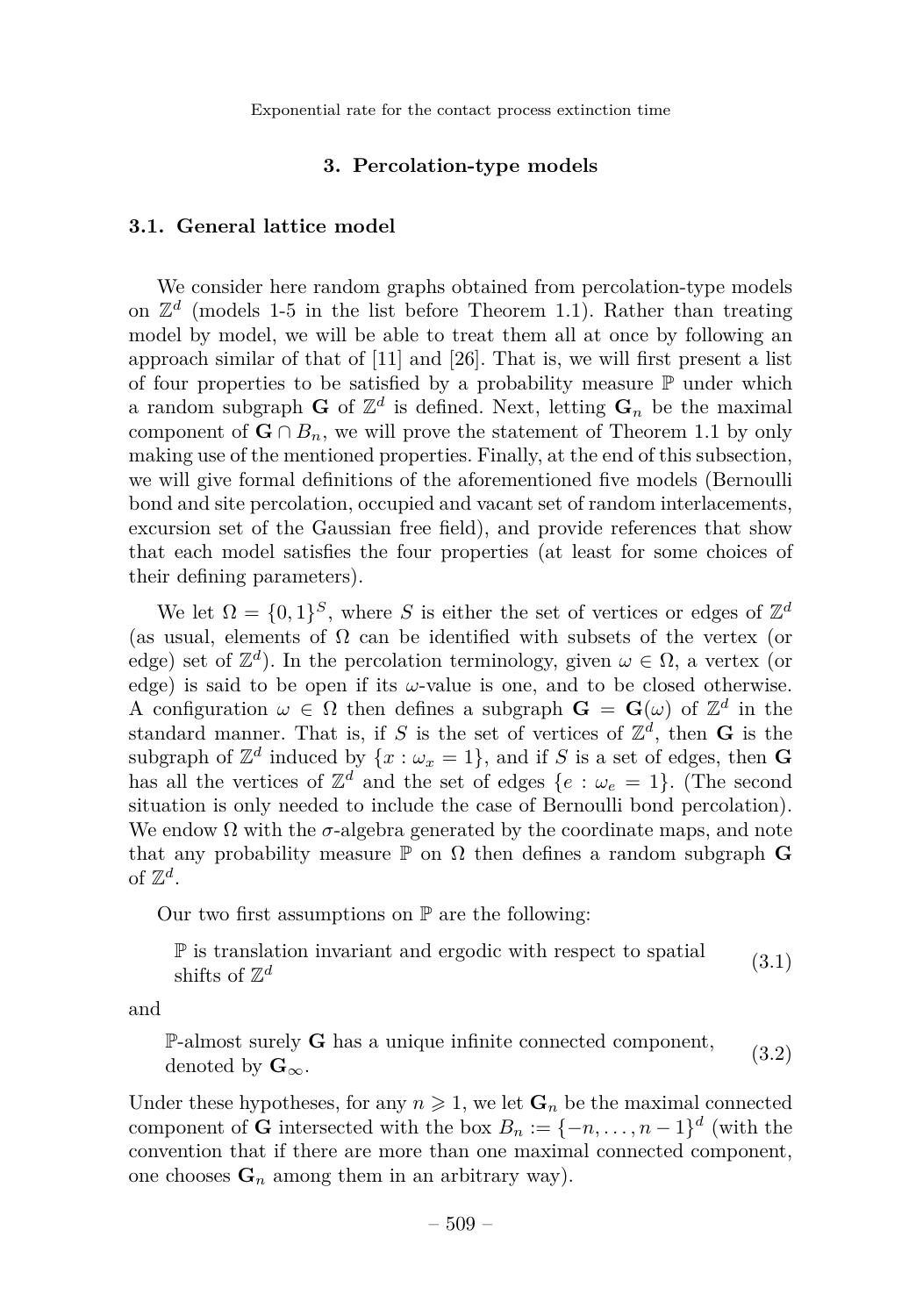Exponential rate for the contact process extinction time

#### **3. Percolation-type models**

#### <span id="page-7-3"></span><span id="page-7-0"></span>**3.1. General lattice model**

We consider here random graphs obtained from percolation-type models on  $\mathbb{Z}^d$  (models 1-5 in the list before Theorem [1.1\)](#page-4-0). Rather than treating model by model, we will be able to treat them all at once by following an approach similar of that of [\[11\]](#page-23-7) and [\[26\]](#page-24-5). That is, we will first present a list of four properties to be satisfied by a probability measure  $\mathbb P$  under which a random subgraph **G** of  $\mathbb{Z}^d$  is defined. Next, letting  $\mathbf{G}_n$  be the maximal component of  $G \cap B_n$ , we will prove the statement of Theorem [1.1](#page-4-0) by only making use of the mentioned properties. Finally, at the end of this subsection, we will give formal definitions of the aforementioned five models (Bernoulli bond and site percolation, occupied and vacant set of random interlacements, excursion set of the Gaussian free field), and provide references that show that each model satisfies the four properties (at least for some choices of their defining parameters).

We let  $\Omega = \{0,1\}^S$ , where *S* is either the set of vertices or edges of  $\mathbb{Z}^d$ (as usual, elements of  $\Omega$  can be identified with subsets of the vertex (or edge) set of  $\mathbb{Z}^d$ ). In the percolation terminology, given  $\omega \in \Omega$ , a vertex (or edge) is said to be open if its  $\omega$ -value is one, and to be closed otherwise. A configuration  $\omega \in \Omega$  then defines a subgraph  $\mathbf{G} = \mathbf{G}(\omega)$  of  $\mathbb{Z}^d$  in the standard manner. That is, if *S* is the set of vertices of  $\mathbb{Z}^d$ , then **G** is the subgraph of  $\mathbb{Z}^d$  induced by  $\{x : \omega_x = 1\}$ , and if *S* is a set of edges, then **G** has all the vertices of  $\mathbb{Z}^d$  and the set of edges  $\{e : \omega_e = 1\}$ . (The second situation is only needed to include the case of Bernoulli bond percolation). We endow  $\Omega$  with the  $\sigma$ -algebra generated by the coordinate maps, and note that any probability measure  $\mathbb P$  on  $\Omega$  then defines a random subgraph **G** of  $\mathbb{Z}^d$ .

Our two first assumptions on  $\mathbb P$  are the following:

<span id="page-7-2"></span>P is translation invariant and ergodic with respect to spatial shifts of  $\mathbb{Z}^d$ (3.1)

and

<span id="page-7-1"></span>P-almost surely **G** has a unique infinite connected component, denoted by  $\mathbf{G}_{\infty}$ . (3.2)

Under these hypotheses, for any  $n \geq 1$ , we let  $\mathbf{G}_n$  be the maximal connected component of **G** intersected with the box  $B_n := \{-n, \ldots, n-1\}^d$  (with the convention that if there are more than one maximal connected component, one chooses  $\mathbf{G}_n$  among them in an arbitrary way).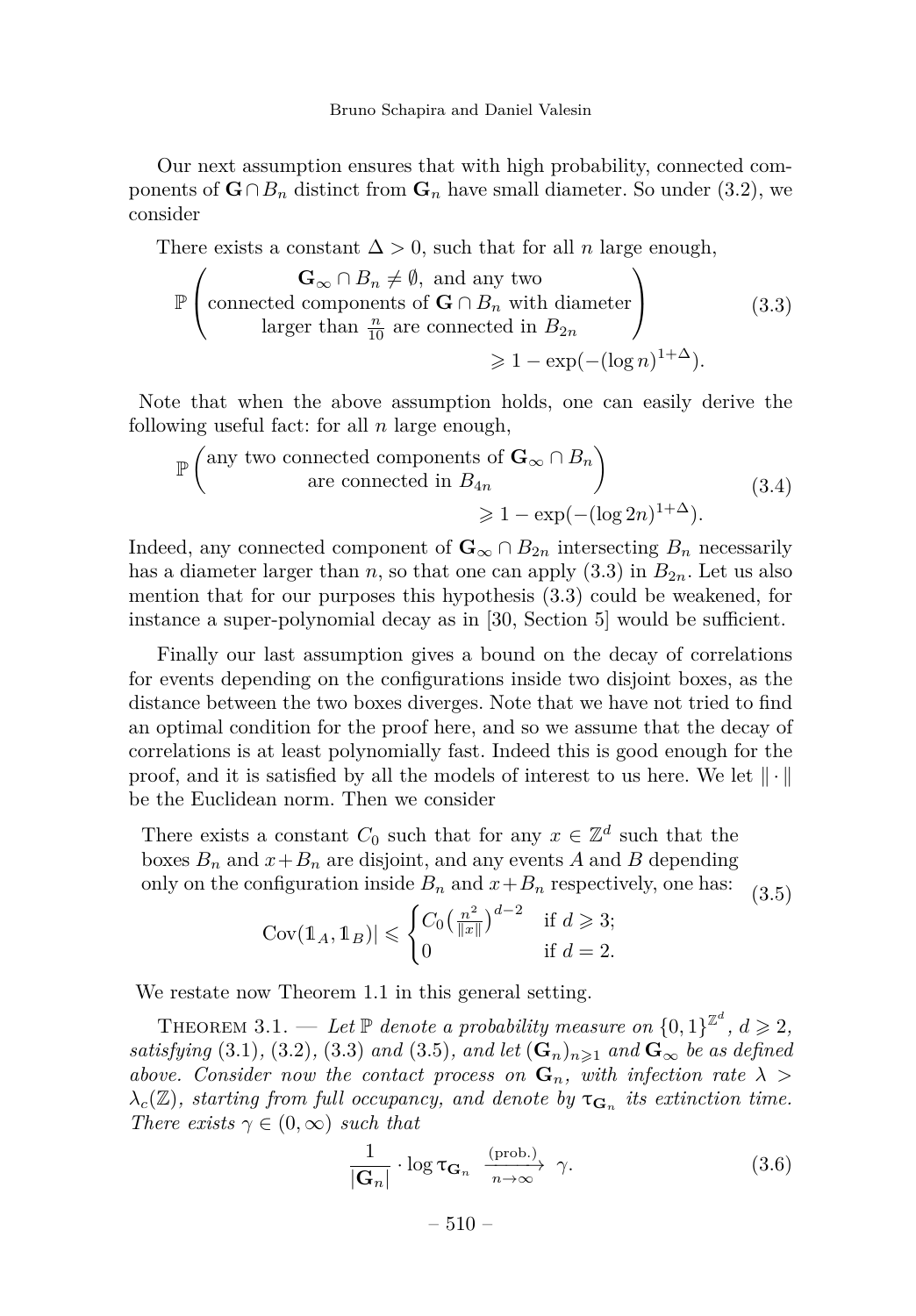Our next assumption ensures that with high probability, connected components of  $\mathbf{G} \cap B_n$  distinct from  $\mathbf{G}_n$  have small diameter. So under [\(3.2\)](#page-7-1), we consider

There exists a constant  $\Delta > 0$ , such that for all *n* large enough,

<span id="page-8-0"></span>
$$
\mathbb{P}\left(\begin{array}{c}\n\mathbf{G}_{\infty} \cap B_n \neq \emptyset, \text{ and any two} \\
\text{connected components of } \mathbf{G} \cap B_n \text{ with diameter} \\
\text{larger than } \frac{n}{10} \text{ are connected in } B_{2n} \\
\geq 1 - \exp(-(\log n)^{1+\Delta}).\n\end{array}\right) (3.3)
$$

Note that when the above assumption holds, one can easily derive the following useful fact: for all *n* large enough,

<span id="page-8-2"></span>
$$
\mathbb{P}\left(\text{any two connected components of } \mathbf{G}_{\infty} \cap B_{n}\right)
$$
  
are connected in  $B_{4n}$   

$$
\geq 1 - \exp(-(\log 2n)^{1+\Delta}).
$$
 (3.4)

Indeed, any connected component of  $\mathbf{G}_{\infty} \cap B_{2n}$  intersecting  $B_n$  necessarily has a diameter larger than *n*, so that one can apply  $(3.3)$  in  $B_{2n}$ . Let us also mention that for our purposes this hypothesis [\(3.3\)](#page-8-0) could be weakened, for instance a super-polynomial decay as in [\[30,](#page-24-6) Section 5] would be sufficient.

Finally our last assumption gives a bound on the decay of correlations for events depending on the configurations inside two disjoint boxes, as the distance between the two boxes diverges. Note that we have not tried to find an optimal condition for the proof here, and so we assume that the decay of correlations is at least polynomially fast. Indeed this is good enough for the proof, and it is satisfied by all the models of interest to us here. We let  $\|\cdot\|$ be the Euclidean norm. Then we consider

<span id="page-8-1"></span>There exists a constant  $C_0$  such that for any  $x \in \mathbb{Z}^d$  such that the boxes  $B_n$  and  $x + B_n$  are disjoint, and any events A and B depending only on the configuration inside  $B_n$  and  $x + B_n$  respectively, one has: (3.5)

$$
Cov(\mathbb{1}_A, \mathbb{1}_B)| \leqslant \begin{cases} C_0 \left(\frac{n^2}{\|x\|}\right)^{d-2} & \text{if } d \geqslant 3; \\ 0 & \text{if } d = 2. \end{cases}
$$

We restate now Theorem [1.1](#page-4-0) in this general setting.

<span id="page-8-3"></span>THEOREM 3.1. — Let  $\mathbb P$  denote a probability measure on  $\{0,1\}^{\mathbb Z^d}, d \geqslant 2$ , *satisfying* [\(3.1\)](#page-7-2)*,* [\(3.2\)](#page-7-1)*,* [\(3.3\)](#page-8-0) *and* [\(3.5\)](#page-8-1)*, and let*  $(\mathbf{G}_n)_{n\geqslant1}$  *and*  $\mathbf{G}_\infty$  *be as defined above. Consider now the contact process on* **G***n, with infection rate λ >*  $\lambda_c(\mathbb{Z})$ *, starting from full occupancy, and denote by*  $\tau_{\mathbf{G}_n}$  *its extinction time. There exists*  $\gamma \in (0, \infty)$  *such that* 

<span id="page-8-4"></span>
$$
\frac{1}{|\mathbf{G}_n|} \cdot \log \tau_{\mathbf{G}_n} \xrightarrow[n \to \infty]{\text{(prob.)}} \gamma.
$$
 (3.6)

 $-510-$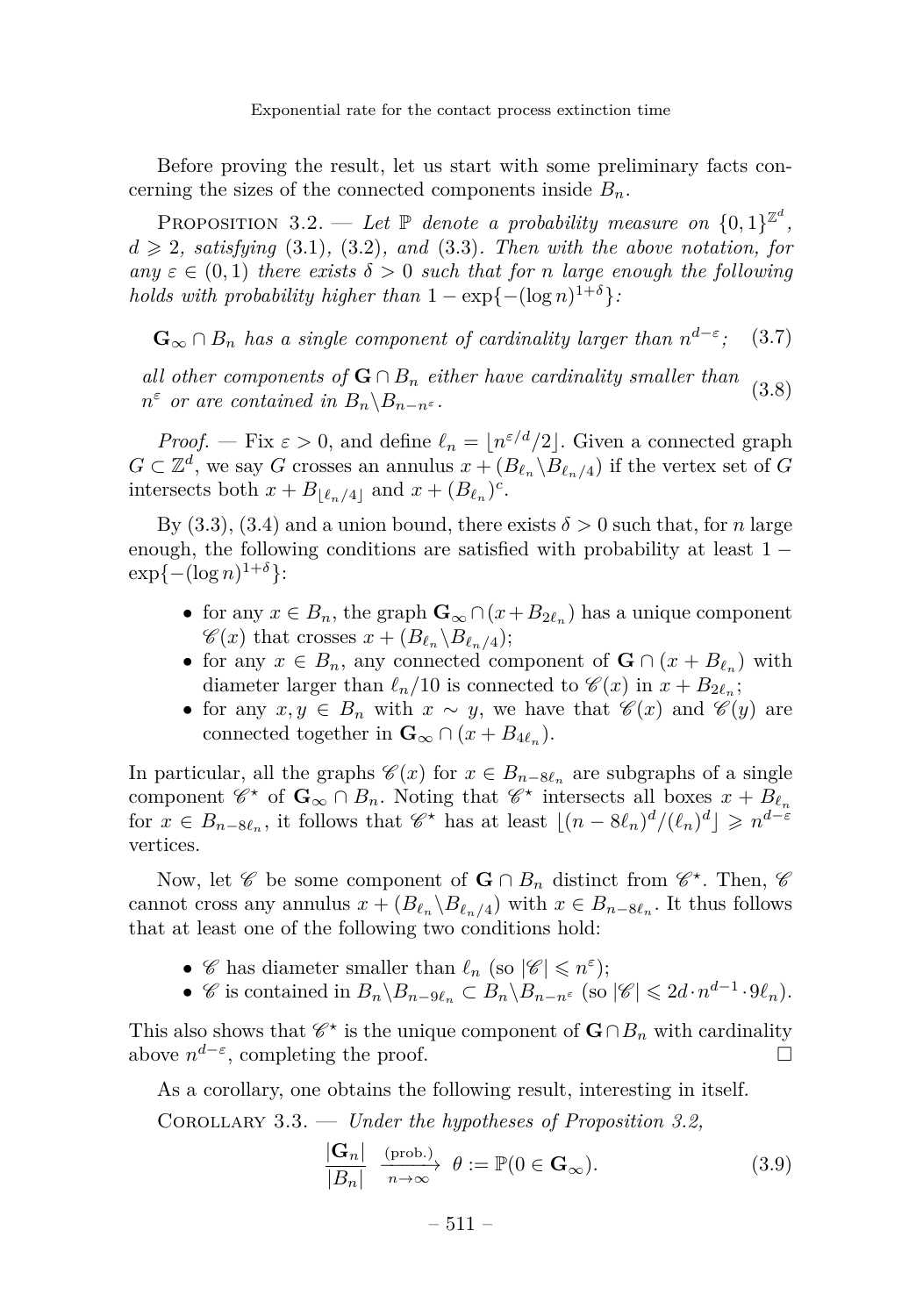Exponential rate for the contact process extinction time

Before proving the result, let us start with some preliminary facts concerning the sizes of the connected components inside  $B_n$ .

<span id="page-9-0"></span>PROPOSITION 3.2. — Let  $\mathbb P$  denote a probability measure on  $\{0,1\}^{\mathbb Z^d}$ ,  $d \geqslant 2$ *, satisfying* [\(3.1\)](#page-7-2), [\(3.2\)](#page-7-1)*, and* (3.3*). Then with the above notation, for*  $any \varepsilon \in (0,1)$  *there exists*  $\delta > 0$  *such that for n large enough the following holds with probability higher than*  $1 - \exp\{-(\log n)^{1+\delta}\}$ .

<span id="page-9-1"></span> $\mathbf{G}_{\infty} \cap B_n$  *has a single component of cardinality larger than*  $n^{d-\varepsilon}$ *;* (3.7)

<span id="page-9-2"></span>*all other components of*  $G \cap B_n$  *either have cardinality smaller than*  $n^{\varepsilon}$  *or are contained in*  $B_n \backslash B_{n-n^{\varepsilon}}$ *.* (3.8)

*Proof.* — Fix  $\varepsilon > 0$ , and define  $\ell_n = \lfloor n^{\varepsilon/d}/2 \rfloor$ . Given a connected graph *G* ⊂  $\mathbb{Z}^d$ , we say *G* crosses an annulus  $x + (B_{\ell_n} \setminus B_{\ell_n/4})$  if the vertex set of *G* intersects both  $x + B_{\lfloor \ell_n/4 \rfloor}$  and  $x + (B_{\ell_n})^c$ .

By [\(3.3\)](#page-8-0), [\(3.4\)](#page-8-2) and a union bound, there exists  $\delta > 0$  such that, for *n* large enough, the following conditions are satisfied with probability at least  $1 \exp\{-(\log n)^{1+\delta}\}\$ :

- for any  $x \in B_n$ , the graph  $\mathbf{G}_{\infty} \cap (x + B_{2\ell_n})$  has a unique component  $\mathscr{C}(x)$  that crosses  $x + (B_{\ell_n} \backslash B_{\ell_n/4});$
- for any  $x \in B_n$ , any connected component of  $\mathbf{G} \cap (x + B_{\ell_n})$  with diameter larger than  $\ell_n/10$  is connected to  $\mathscr{C}(x)$  in  $x + B_{2\ell_n}$ ;
- for any  $x, y \in B_n$  with  $x \sim y$ , we have that  $\mathscr{C}(x)$  and  $\mathscr{C}(y)$  are connected together in  $\mathbf{G}_{\infty} \cap (x + B_{4\ell_n}).$

In particular, all the graphs  $\mathscr{C}(x)$  for  $x \in B_{n-8\ell_n}$  are subgraphs of a single component  $\mathscr{C}^*$  of  $\mathbf{G}_{\infty} \cap B_n$ . Noting that  $\mathscr{C}^*$  intersects all boxes  $x + B_{\ell_n}$ for  $x \in B_{n-8\ell_n}$ , it follows that  $\mathscr{C}^\star$  has at least  $\lfloor (n-8\ell_n)^d/(\ell_n)^d \rfloor \geqslant n^{d-\varepsilon}$ vertices.

Now, let  $\mathscr C$  be some component of  $\mathbf{G} \cap B_n$  distinct from  $\mathscr C^*$ . Then,  $\mathscr C$ cannot cross any annulus  $x + (B_{\ell_n} \backslash B_{\ell_n/4})$  with  $x \in B_{n-8\ell_n}$ . It thus follows that at least one of the following two conditions hold:

• *C* has diameter smaller than  $\ell_n$  (so  $|\mathscr{C}| \leq n^{\varepsilon}$ );

|**G***n*|

• C is contained in  $B_n \setminus B_{n-9\ell_n} \subset B_n \setminus B_{n-n^{\varepsilon}}$  (so  $|\mathscr{C}| \leq 2d \cdot n^{d-1} \cdot 9\ell_n$ ).

This also shows that  $\mathscr{C}^{\star}$  is the unique component of  $\mathbf{G} \cap B_n$  with cardinality above  $n^{d-\varepsilon}$ , completing the proof.

As a corollary, one obtains the following result, interesting in itself.

Corollary 3.3. — *Under the hypotheses of Proposition [3.2,](#page-9-0)*

<span id="page-9-3"></span>
$$
\frac{|\mathbf{G}_n|}{|B_n|} \xrightarrow[n \to \infty]{\text{(prob.)}} \theta := \mathbb{P}(0 \in \mathbf{G}_\infty). \tag{3.9}
$$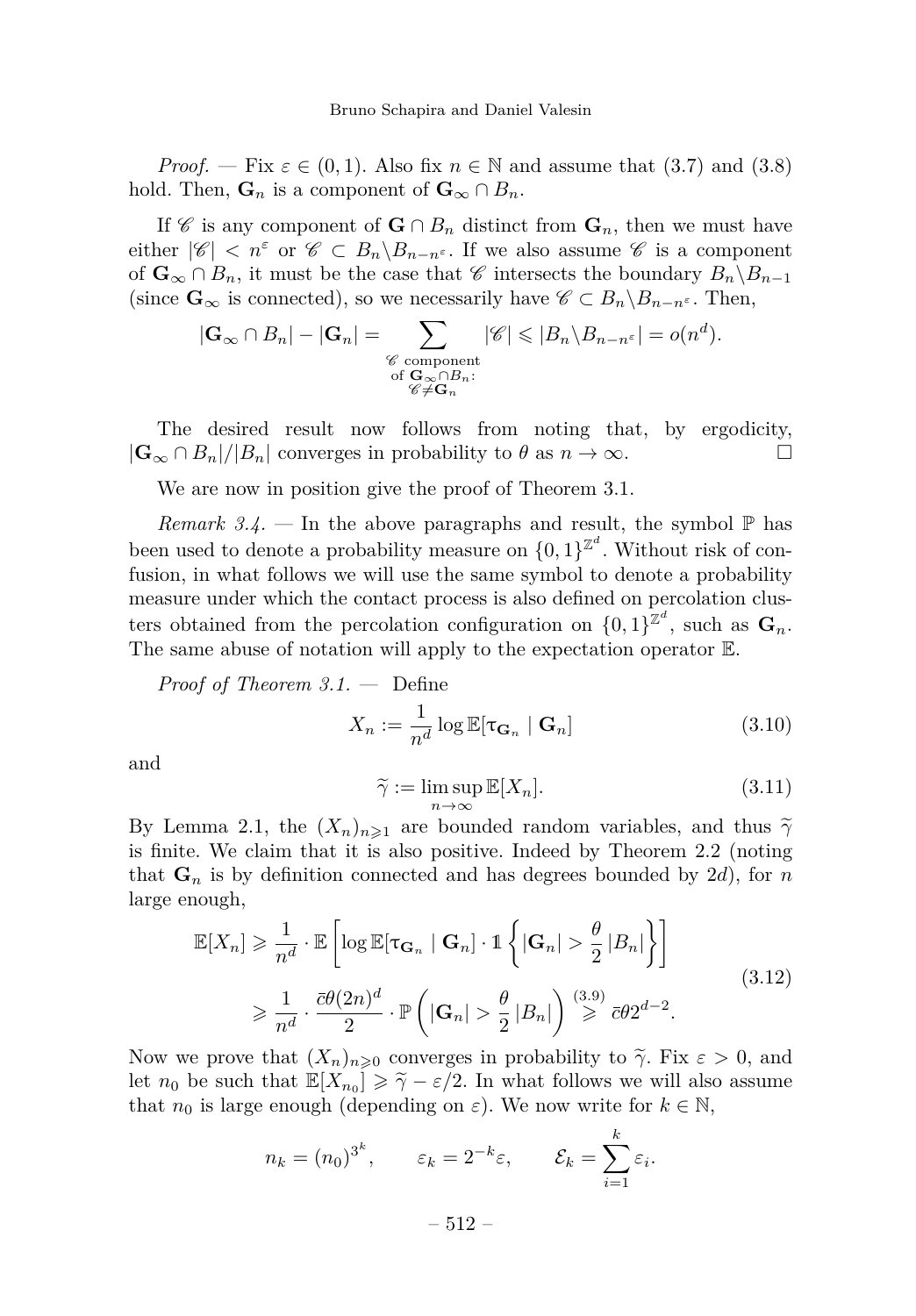*Proof.* — Fix  $\varepsilon \in (0,1)$ . Also fix  $n \in \mathbb{N}$  and assume that  $(3.7)$  and  $(3.8)$ hold. Then,  $\mathbf{G}_n$  is a component of  $\mathbf{G}_{\infty} \cap B_n$ .

If C is any component of  $G \cap B_n$  distinct from  $G_n$ , then we must have either  $|\mathscr{C}| < n^{\varepsilon}$  or  $\mathscr{C} \subset B_n \backslash B_{n-n^{\varepsilon}}$ . If we also assume  $\mathscr{C}$  is a component of  $\mathbf{G}_{\infty} \cap B_n$ , it must be the case that  $\mathscr{C}$  intersects the boundary  $B_n \backslash B_{n-1}$ (since  $\mathbf{G}_{\infty}$  is connected), so we necessarily have  $\mathscr{C} \subset B_n \backslash B_{n-n^{\varepsilon}}$ . Then,

$$
|\mathbf{G}_{\infty} \cap B_n| - |\mathbf{G}_n| = \sum_{\substack{\mathscr{C} \text{ component} \\ \text{of } \mathbf{G}_{\infty} \cap B_n:\\ \mathscr{C} \neq \mathbf{G}_n}} |\mathscr{C}| \leqslant |B_n \setminus B_{n-n^{\varepsilon}}| = o(n^d).
$$

The desired result now follows from noting that, by ergodicity,  $|\mathbf{G}_{\infty} \cap B_n|/|B_n|$  converges in probability to  $\theta$  as  $n \to \infty$ .

We are now in position give the proof of Theorem [3.1.](#page-8-3)

*Remark 3.4.* — In the above paragraphs and result, the symbol  $\mathbb{P}$  has been used to denote a probability measure on  $\{0,1\}^{\mathbb{Z}^d}$ . Without risk of confusion, in what follows we will use the same symbol to denote a probability measure under which the contact process is also defined on percolation clusters obtained from the percolation configuration on  $\{0,1\}^{\mathbb{Z}^d}$ , such as  $\mathbf{G}_n$ . The same abuse of notation will apply to the expectation operator E.

*Proof of Theorem [3.1.](#page-8-3) —* Define

<span id="page-10-0"></span>
$$
X_n := \frac{1}{n^d} \log \mathbb{E}[\tau_{\mathbf{G}_n} \mid \mathbf{G}_n]
$$
 (3.10)

and

<span id="page-10-1"></span>
$$
\widetilde{\gamma} := \limsup_{n \to \infty} \mathbb{E}[X_n]. \tag{3.11}
$$

By Lemma [2.1,](#page-6-1) the  $(X_n)_{n\geq 1}$  are bounded random variables, and thus  $\tilde{\gamma}$ is finite. We claim that it is also positive. Indeed by Theorem [2.2](#page-6-2) (noting that  $\mathbf{G}_n$  is by definition connected and has degrees bounded by 2*d*), for *n* large enough,

<span id="page-10-2"></span>
$$
\mathbb{E}[X_n] \geq \frac{1}{n^d} \cdot \mathbb{E}\left[\log \mathbb{E}[\tau_{\mathbf{G}_n} | \mathbf{G}_n] \cdot \mathbb{1}\left\{|\mathbf{G}_n| > \frac{\theta}{2} |B_n|\right\}\right]
$$
\n
$$
\geq \frac{1}{n^d} \cdot \frac{\bar{c}\theta(2n)^d}{2} \cdot \mathbb{P}\left(|\mathbf{G}_n| > \frac{\theta}{2} |B_n|\right) \stackrel{(3.9)}{\geq} \bar{c}\theta 2^{d-2}.
$$
\n(3.12)

Now we prove that  $(X_n)_{n\geqslant 0}$  converges in probability to  $\tilde{\gamma}$ . Fix  $\varepsilon > 0$ , and let  $n_0$  be such that  $\mathbb{E}[X_{n_0}] \geq \tilde{\gamma} - \varepsilon/2$ . In what follows we will also assume that  $n_0$  is large enough (depending on  $\varepsilon$ ). We now write for  $k \in \mathbb{N}$ ,

$$
n_k = (n_0)^{3^k}, \qquad \varepsilon_k = 2^{-k}\varepsilon, \qquad \mathcal{E}_k = \sum_{i=1}^k \varepsilon_i.
$$

 $-512-$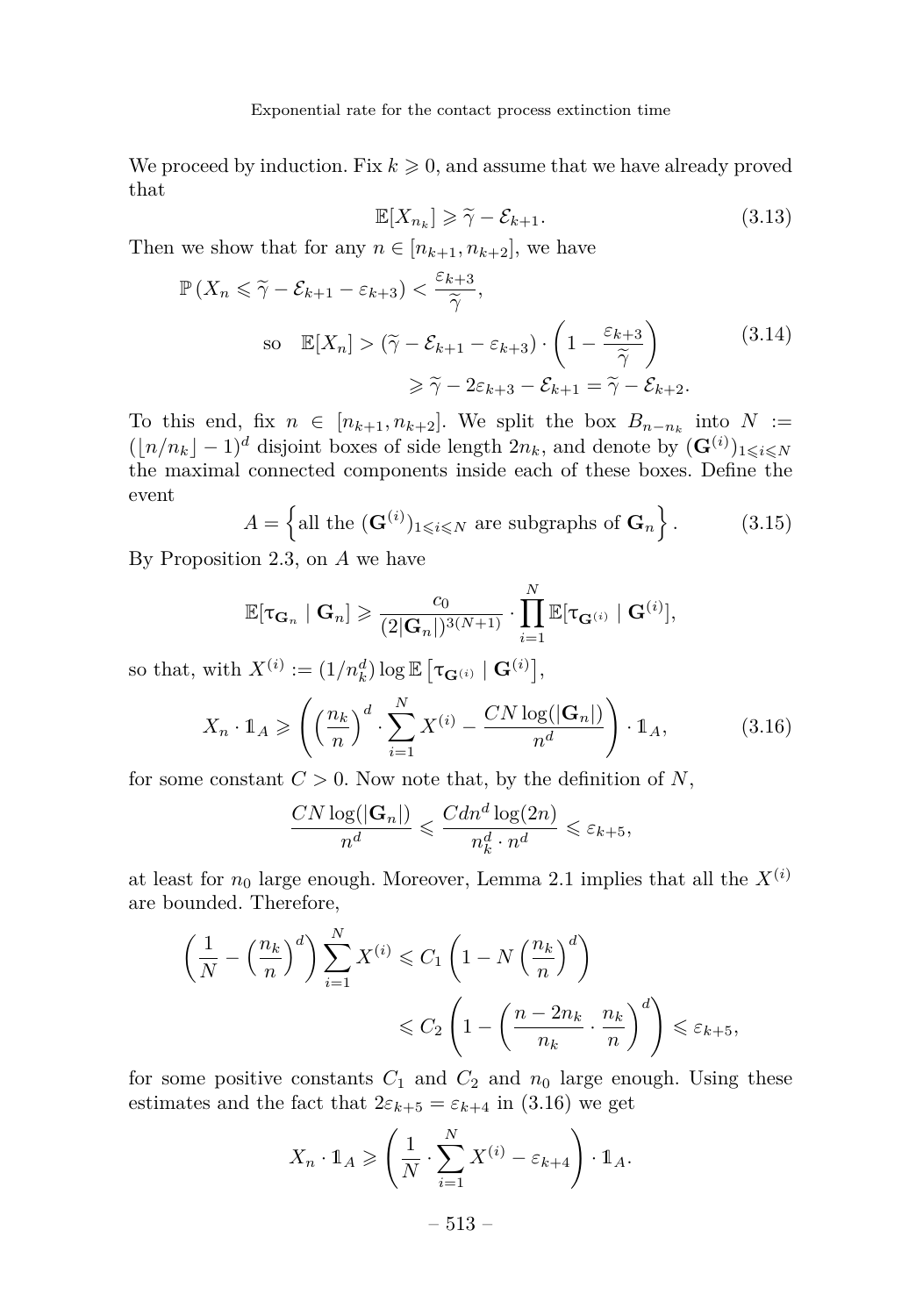We proceed by induction. Fix  $k \geqslant 0$ , and assume that we have already proved that

<span id="page-11-1"></span>
$$
\mathbb{E}[X_{n_k}] \ge \tilde{\gamma} - \mathcal{E}_{k+1}.
$$
\n(3.13)

Then we show that for any  $n \in [n_{k+1}, n_{k+2}]$ , we have

<span id="page-11-2"></span>
$$
\mathbb{P}\left(X_n \leq \tilde{\gamma} - \mathcal{E}_{k+1} - \varepsilon_{k+3}\right) < \frac{\varepsilon_{k+3}}{\tilde{\gamma}},
$$
\n
$$
\text{so } \mathbb{E}[X_n] > (\tilde{\gamma} - \mathcal{E}_{k+1} - \varepsilon_{k+3}) \cdot \left(1 - \frac{\varepsilon_{k+3}}{\tilde{\gamma}}\right) \geq \tilde{\gamma} - 2\varepsilon_{k+3} - \mathcal{E}_{k+1} = \tilde{\gamma} - \mathcal{E}_{k+2}.
$$
\n
$$
(3.14)
$$

To this end, fix  $n \in [n_{k+1}, n_{k+2}]$ . We split the box  $B_{n-n_k}$  into  $N :=$  $(\lfloor n/n_k \rfloor - 1)^d$  disjoint boxes of side length  $2n_k$ , and denote by  $(\mathbf{G}^{(i)})_{1 \leqslant i \leqslant N}$ the maximal connected components inside each of these boxes. Define the event

<span id="page-11-3"></span>
$$
A = \left\{ \text{all the } (\mathbf{G}^{(i)})_{1 \leqslant i \leqslant N} \text{ are subgraphs of } \mathbf{G}_n \right\}.
$$
 (3.15)

By Proposition [2.3,](#page-6-0) on *A* we have

$$
\mathbb{E}[\tau_{\mathbf{G}_n} \mid \mathbf{G}_n] \geqslant \frac{c_0}{(2|\mathbf{G}_n|)^{3(N+1)}} \cdot \prod_{i=1}^N \mathbb{E}[\tau_{\mathbf{G}^{(i)}} \mid \mathbf{G}^{(i)}],
$$

so that, with  $X^{(i)} := (1/n_k^d) \log \mathbb{E} \left[ \tau_{\mathbf{G}^{(i)}} \mid \mathbf{G}^{(i)} \right],$ 

<span id="page-11-0"></span>
$$
X_n \cdot \mathbb{1}_A \ge \left( \left( \frac{n_k}{n} \right)^d \cdot \sum_{i=1}^N X^{(i)} - \frac{CN \log(|\mathbf{G}_n|)}{n^d} \right) \cdot \mathbb{1}_A,\tag{3.16}
$$

for some constant  $C > 0$ . Now note that, by the definition of  $N$ ,

$$
\frac{CN\log(|\mathbf{G}_n|)}{n^d} \leqslant \frac{Cdn^d\log(2n)}{n_k^d \cdot n^d} \leqslant \varepsilon_{k+5},
$$

at least for  $n_0$  large enough. Moreover, Lemma [2.1](#page-6-1) implies that all the  $X^{(i)}$ are bounded. Therefore,

$$
\left(\frac{1}{N} - \left(\frac{n_k}{n}\right)^d\right) \sum_{i=1}^N X^{(i)} \leq C_1 \left(1 - N\left(\frac{n_k}{n}\right)^d\right)
$$
  

$$
\leq C_2 \left(1 - \left(\frac{n - 2n_k}{n_k} \cdot \frac{n_k}{n}\right)^d\right) \leq \varepsilon_{k+5},
$$

for some positive constants  $C_1$  and  $C_2$  and  $n_0$  large enough. Using these estimates and the fact that  $2\varepsilon_{k+5} = \varepsilon_{k+4}$  in [\(3.16\)](#page-11-0) we get

$$
X_n \cdot \mathbb{1}_A \geqslant \left(\frac{1}{N} \cdot \sum_{i=1}^N X^{(i)} - \varepsilon_{k+4}\right) \cdot \mathbb{1}_A.
$$

$$
-513 -
$$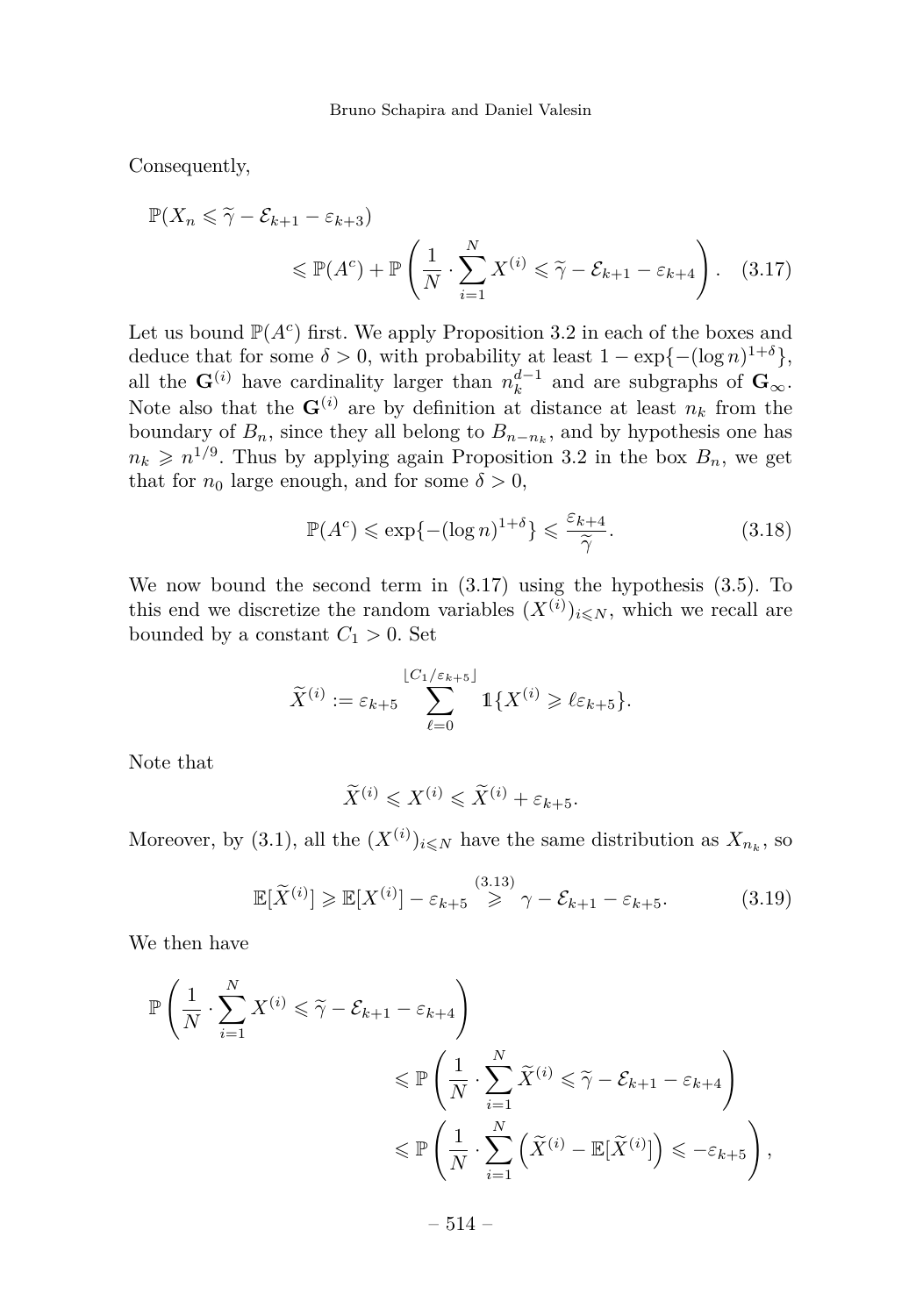Consequently,

$$
\mathbb{P}(X_n \leq \tilde{\gamma} - \mathcal{E}_{k+1} - \varepsilon_{k+3})
$$
  
 
$$
\leq \mathbb{P}(A^c) + \mathbb{P}\left(\frac{1}{N} \cdot \sum_{i=1}^N X^{(i)} \leq \tilde{\gamma} - \mathcal{E}_{k+1} - \varepsilon_{k+4}\right).
$$
 (3.17)

Let us bound  $\mathbb{P}(A^c)$  first. We apply Proposition [3.2](#page-9-0) in each of the boxes and deduce that for some  $\delta > 0$ , with probability at least  $1 - \exp\{- (\log n)^{1+\delta} \},$ all the  $\mathbf{G}^{(i)}$  have cardinality larger than  $n_k^{d-1}$  and are subgraphs of  $\mathbf{G}_{\infty}$ . Note also that the  $\mathbf{G}^{(i)}$  are by definition at distance at least  $n_k$  from the boundary of  $B_n$ , since they all belong to  $B_{n-n_k}$ , and by hypothesis one has  $n_k \geq n^{1/9}$ . Thus by applying again Proposition [3.2](#page-9-0) in the box  $B_n$ , we get that for  $n_0$  large enough, and for some  $\delta > 0$ ,

<span id="page-12-2"></span><span id="page-12-0"></span>
$$
\mathbb{P}(A^c) \leqslant \exp\{-(\log n)^{1+\delta}\} \leqslant \frac{\varepsilon_{k+4}}{\widetilde{\gamma}}.\tag{3.18}
$$

We now bound the second term in  $(3.17)$  using the hypothesis  $(3.5)$ . To this end we discretize the random variables  $(X^{(i)})_{i \leq N}$ , which we recall are bounded by a constant  $C_1 > 0$ . Set

$$
\widetilde{X}^{(i)} := \varepsilon_{k+5} \sum_{\ell=0}^{\lfloor C_1/\varepsilon_{k+5} \rfloor} \mathbb{1} \{ X^{(i)} \geqslant \ell \varepsilon_{k+5} \}.
$$

Note that

$$
\widetilde{X}^{(i)} \leqslant X^{(i)} \leqslant \widetilde{X}^{(i)} + \varepsilon_{k+5}.
$$

Moreover, by [\(3.1\)](#page-7-2), all the  $(X^{(i)})_{i \leq N}$  have the same distribution as  $X_{n_k}$ , so

<span id="page-12-1"></span>
$$
\mathbb{E}[\widetilde{X}^{(i)}] \ge \mathbb{E}[X^{(i)}] - \varepsilon_{k+5} \overset{(3.13)}{\ge} \gamma - \mathcal{E}_{k+1} - \varepsilon_{k+5}.
$$
 (3.19)

We then have

$$
\mathbb{P}\left(\frac{1}{N}\cdot\sum_{i=1}^{N}X^{(i)}\leqslant \widetilde{\gamma}-\mathcal{E}_{k+1}-\varepsilon_{k+4}\right) \leqslant \mathbb{P}\left(\frac{1}{N}\cdot\sum_{i=1}^{N}\widetilde{X}^{(i)}\leqslant \widetilde{\gamma}-\mathcal{E}_{k+1}-\varepsilon_{k+4}\right) \leqslant \mathbb{P}\left(\frac{1}{N}\cdot\sum_{i=1}^{N}\left(\widetilde{X}^{(i)}-\mathbb{E}[\widetilde{X}^{(i)}]\right)\leqslant-\varepsilon_{k+5}\right),
$$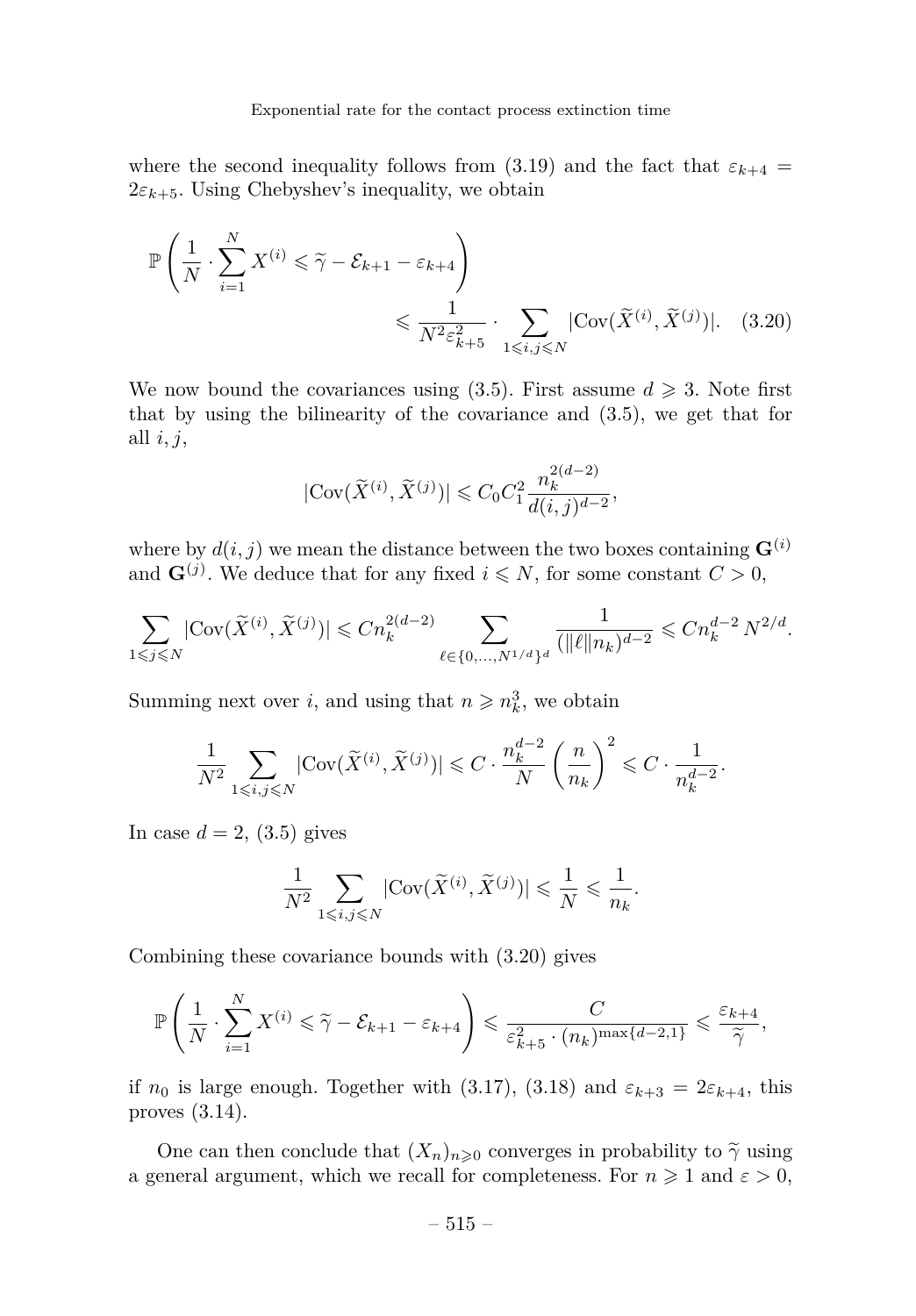where the second inequality follows from [\(3.19\)](#page-12-1) and the fact that  $\varepsilon_{k+4}$  =  $2\varepsilon_{k+5}$ . Using Chebyshev's inequality, we obtain

$$
\mathbb{P}\left(\frac{1}{N} \cdot \sum_{i=1}^{N} X^{(i)} \leq \widetilde{\gamma} - \mathcal{E}_{k+1} - \varepsilon_{k+4}\right) \leq \frac{1}{N^2 \varepsilon_{k+5}^2} \cdot \sum_{1 \leq i,j \leq N} |\text{Cov}(\widetilde{X}^{(i)}, \widetilde{X}^{(j)})|.
$$
 (3.20)

We now bound the covariances using  $(3.5)$ . First assume  $d \geq 3$ . Note first that by using the bilinearity of the covariance and [\(3.5\)](#page-8-1), we get that for all *i, j*,

<span id="page-13-0"></span>
$$
|\text{Cov}(\widetilde{X}^{(i)},\widetilde{X}^{(j)})| \leqslant C_0 C_1^2 \frac{n_k^{2(d-2)}}{d(i,j)^{d-2}},
$$

where by  $d(i, j)$  we mean the distance between the two boxes containing  $\mathbf{G}^{(i)}$ and  $\mathbf{G}^{(j)}$ . We deduce that for any fixed  $i \leq N$ , for some constant  $C > 0$ ,

$$
\sum_{1\leqslant j\leqslant N}|\text{Cov}(\widetilde{X}^{(i)},\widetilde{X}^{(j)})|\leqslant Cn_k^{2(d-2)}\sum_{\ell\in\{0,...,N^{1/d}\}^d}\frac{1}{(\|\ell\|n_k)^{d-2}}\leqslant Cn_k^{d-2}\,N^{2/d}.
$$

Summing next over *i*, and using that  $n \ge n_k^3$ , we obtain

$$
\frac{1}{N^2} \sum_{1 \leqslant i,j \leqslant N} |{\rm Cov}(\widetilde{X}^{(i)},\widetilde{X}^{(j)})| \leqslant C \cdot \frac{n_k^{d-2}}{N} \left(\frac{n}{n_k}\right)^2 \leqslant C \cdot \frac{1}{n_k^{d-2}}.
$$

In case  $d = 2$ , [\(3.5\)](#page-8-1) gives

$$
\frac{1}{N^2}\sum_{1\leqslant i,j\leqslant N}\vert {\rm Cov}\big(\widetilde{X}^{(i)},\widetilde{X}^{(j)})\vert\leqslant\frac{1}{N}\leqslant\frac{1}{n_k}.
$$

Combining these covariance bounds with [\(3.20\)](#page-13-0) gives

$$
\mathbb{P}\left(\frac{1}{N}\cdot\sum_{i=1}^{N}X^{(i)}\leqslant \widetilde{\gamma}-\mathcal{E}_{k+1}-\varepsilon_{k+4}\right)\leqslant \frac{C}{\varepsilon_{k+5}^{2}\cdot(n_{k})^{\max\{d-2,1\}}}\leqslant \frac{\varepsilon_{k+4}}{\widetilde{\gamma}},
$$

if  $n_0$  is large enough. Together with [\(3.17\)](#page-12-0), [\(3.18\)](#page-12-2) and  $\varepsilon_{k+3} = 2\varepsilon_{k+4}$ , this proves [\(3.14\)](#page-11-2).

One can then conclude that  $(X_n)_{n\geqslant0}$  converges in probability to  $\tilde{\gamma}$  using a general argument, which we recall for completeness. For  $n \geq 1$  and  $\varepsilon > 0$ ,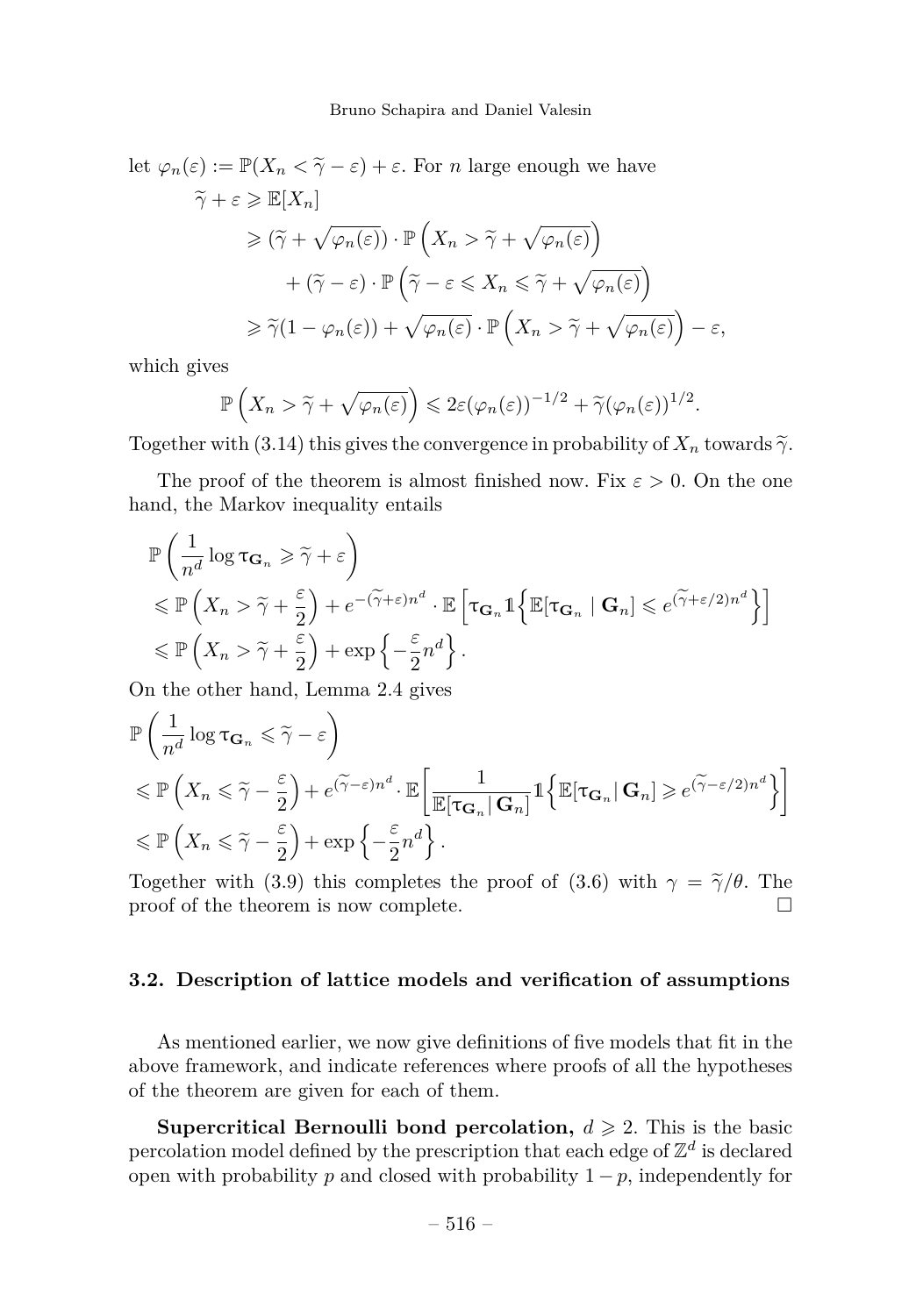let  $\varphi_n(\varepsilon) := \mathbb{P}(X_n \leq \tilde{\gamma} - \varepsilon) + \varepsilon$ . For *n* large enough we have  $\widetilde{\gamma} + \varepsilon \geqslant \mathbb{E}[X_n]$  $\geqslant (\widetilde{\gamma} + \sqrt{\varphi_n(\varepsilon)}) \cdot \mathbb{P}\left(X_n > \widetilde{\gamma} + \sqrt{\varphi_n(\varepsilon)}\right)$  $+\left(\tilde{\gamma}-\varepsilon\right)\cdot\mathbb{P}\left(\tilde{\gamma}-\varepsilon\leqslant X_n\leqslant \tilde{\gamma}+\sqrt{\varphi_n(\varepsilon)}\right)$  $\geq \widetilde{\gamma}(1 - \varphi_n(\varepsilon)) + \sqrt{\varphi_n(\varepsilon)} \cdot \mathbb{P}\left(X_n > \widetilde{\gamma} + \sqrt{\varphi_n(\varepsilon)}\right) - \varepsilon,$ 

which gives

$$
\mathbb{P}\left(X_n > \widetilde{\gamma} + \sqrt{\varphi_n(\varepsilon)}\right) \leq 2\varepsilon(\varphi_n(\varepsilon))^{-1/2} + \widetilde{\gamma}(\varphi_n(\varepsilon))^{1/2}.
$$

Together with [\(3.14\)](#page-11-2) this gives the convergence in probability of  $X_n$  towards  $\tilde{\gamma}$ .

The proof of the theorem is almost finished now. Fix  $\varepsilon > 0$ . On the one hand, the Markov inequality entails

$$
\mathbb{P}\left(\frac{1}{n^d}\log \tau_{\mathbf{G}_n}\geqslant \widetilde{\gamma}+\varepsilon\right)
$$
  
\$\leqslant \mathbb{P}\left(X\_n>\widetilde{\gamma}+\frac{\varepsilon}{2}\right)+e^{-(\widetilde{\gamma}+\varepsilon)n^d}\cdot \mathbb{E}\left[\tau\_{\mathbf{G}\_n}\mathbbm{1}\left\{\mathbb{E}[\tau\_{\mathbf{G}\_n}\mid \mathbf{G}\_n]\leqslant e^{(\widetilde{\gamma}+\varepsilon/2)n^d}\right\}\right] \$  
\$\leqslant \mathbb{P}\left(X\_n>\widetilde{\gamma}+\frac{\varepsilon}{2}\right)+\exp\left\{-\frac{\varepsilon}{2}n^d\right\}\$.

On the other hand, Lemma [2.4](#page-6-3) gives

$$
\mathbb{P}\left(\frac{1}{n^d}\log \tau_{\mathbf{G}_n} \leq \tilde{\gamma} - \varepsilon\right)
$$
  
\$\leqslant \mathbb{P}\left(X\_n \leqslant \tilde{\gamma} - \frac{\varepsilon}{2}\right) + e^{(\tilde{\gamma} - \varepsilon)n^d} \cdot \mathbb{E}\left[\frac{1}{\mathbb{E}[\tau\_{\mathbf{G}\_n}|\mathbf{G}\_n]}1\left\{\mathbb{E}[\tau\_{\mathbf{G}\_n}|\mathbf{G}\_n] \geqslant e^{(\tilde{\gamma} - \varepsilon/2)n^d}\right\}\right] \$  
\$\leqslant \mathbb{P}\left(X\_n \leqslant \tilde{\gamma} - \frac{\varepsilon}{2}\right) + \exp\left\{-\frac{\varepsilon}{2}n^d\right\}.

Together with [\(3.9\)](#page-9-3) this completes the proof of [\(3.6\)](#page-8-4) with  $\gamma = \tilde{\gamma}/\theta$ . The proof of the theorem is now complete. proof of the theorem is now complete.

## **3.2. Description of lattice models and verification of assumptions**

As mentioned earlier, we now give definitions of five models that fit in the above framework, and indicate references where proofs of all the hypotheses of the theorem are given for each of them.

**Supercritical Bernoulli bond percolation,**  $d \ge 2$ . This is the basic percolation model defined by the prescription that each edge of  $\mathbb{Z}^d$  is declared open with probability  $p$  and closed with probability  $1 - p$ , independently for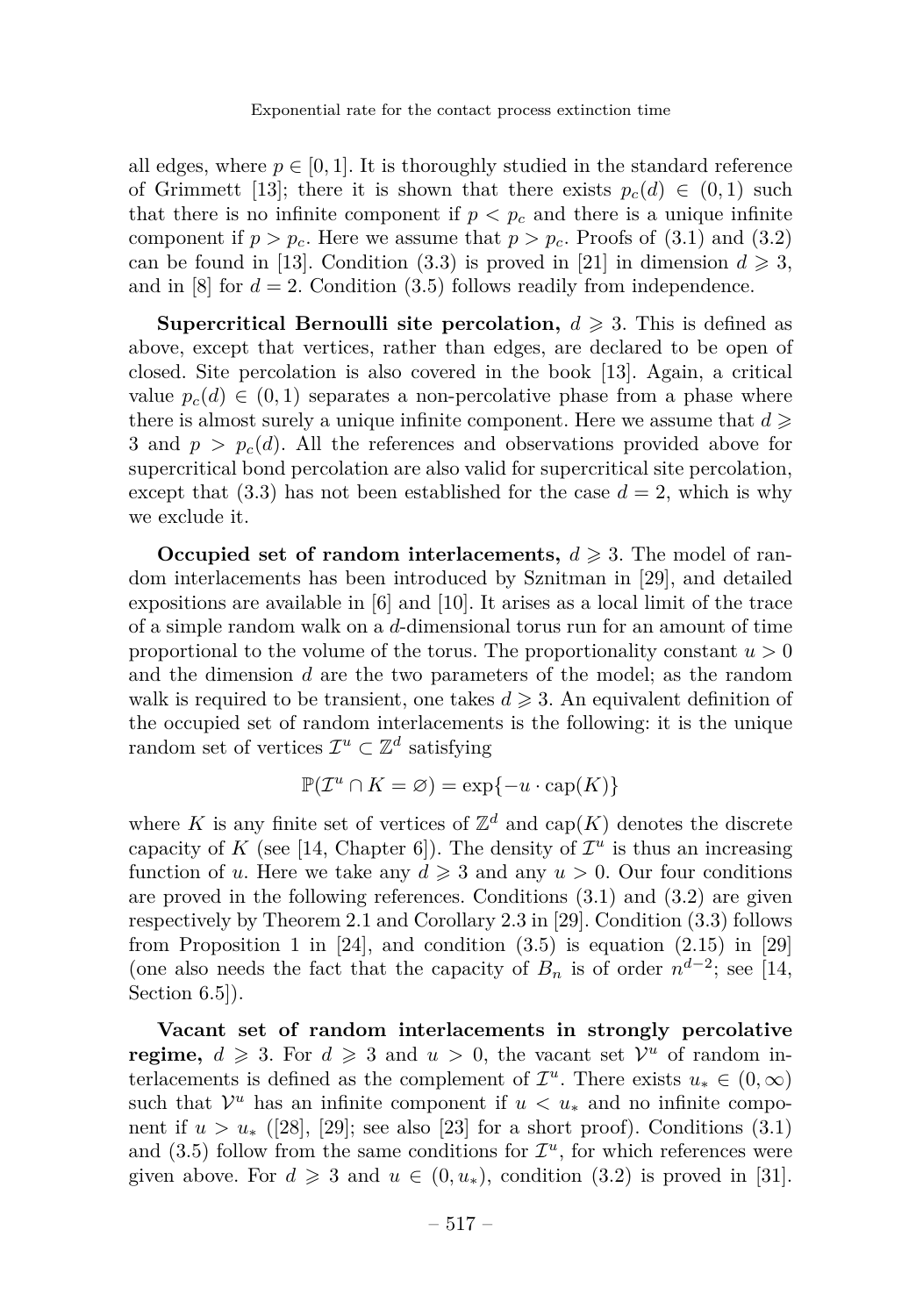all edges, where  $p \in [0, 1]$ . It is thoroughly studied in the standard reference of Grimmett [\[13\]](#page-23-8); there it is shown that there exists  $p_c(d) \in (0,1)$  such that there is no infinite component if  $p < p_c$  and there is a unique infinite component if  $p > p_c$ . Here we assume that  $p > p_c$ . Proofs of [\(3.1\)](#page-7-2) and [\(3.2\)](#page-7-1) can be found in [\[13\]](#page-23-8). Condition [\(3.3\)](#page-8-0) is proved in [\[21\]](#page-24-7) in dimension  $d \geq 3$ , and in  $[8]$  for  $d = 2$ . Condition  $(3.5)$  follows readily from independence.

**Supercritical Bernoulli site percolation,**  $d \geq 3$ . This is defined as above, except that vertices, rather than edges, are declared to be open of closed. Site percolation is also covered in the book [\[13\]](#page-23-8). Again, a critical value  $p_c(d) \in (0,1)$  separates a non-percolative phase from a phase where there is almost surely a unique infinite component. Here we assume that  $d \geqslant$ 3 and  $p > p_c(d)$ . All the references and observations provided above for supercritical bond percolation are also valid for supercritical site percolation, except that  $(3.3)$  has not been established for the case  $d = 2$ , which is why we exclude it.

**Occupied set of random interlacements,**  $d \geq 3$ . The model of random interlacements has been introduced by Sznitman in [\[29\]](#page-24-8), and detailed expositions are available in [\[6\]](#page-23-10) and [\[10\]](#page-23-11). It arises as a local limit of the trace of a simple random walk on a *d*-dimensional torus run for an amount of time proportional to the volume of the torus. The proportionality constant  $u > 0$ and the dimension *d* are the two parameters of the model; as the random walk is required to be transient, one takes  $d \geqslant 3$ . An equivalent definition of the occupied set of random interlacements is the following: it is the unique random set of vertices  $\mathcal{I}^u \subset \mathbb{Z}^d$  satisfying

$$
\mathbb{P}(\mathcal{I}^u \cap K = \varnothing) = \exp\{-u \cdot \text{cap}(K)\}
$$

where K is any finite set of vertices of  $\mathbb{Z}^d$  and  $\text{cap}(K)$  denotes the discrete capacity of *K* (see [\[14,](#page-23-12) Chapter 6]). The density of  $\mathcal{I}^u$  is thus an increasing function of *u*. Here we take any  $d \geq 3$  and any  $u > 0$ . Our four conditions are proved in the following references. Conditions [\(3.1\)](#page-7-2) and [\(3.2\)](#page-7-1) are given respectively by Theorem 2.1 and Corollary 2.3 in [\[29\]](#page-24-8). Condition [\(3.3\)](#page-8-0) follows from Proposition 1 in [\[24\]](#page-24-9), and condition  $(3.5)$  is equation  $(2.15)$  in [\[29\]](#page-24-8) (one also needs the fact that the capacity of  $B_n$  is of order  $n^{d-2}$ ; see [\[14,](#page-23-12) Section  $6.5$ ].

**Vacant set of random interlacements in strongly percolative regime,**  $d \ge 3$ . For  $d \ge 3$  and  $u > 0$ , the vacant set  $\mathcal{V}^u$  of random interlacements is defined as the complement of  $\mathcal{I}^u$ . There exists  $u_* \in (0, \infty)$ such that  $\mathcal{V}^u$  has an infinite component if  $u < u_*$  and no infinite component if  $u > u_*$  ([\[28\]](#page-24-10), [\[29\]](#page-24-8); see also [\[23\]](#page-24-11) for a short proof). Conditions [\(3.1\)](#page-7-2) and  $(3.5)$  follow from the same conditions for  $\mathcal{I}^u$ , for which references were given above. For  $d \geq 3$  and  $u \in (0, u_*)$ , condition [\(3.2\)](#page-7-1) is proved in [\[31\]](#page-24-12).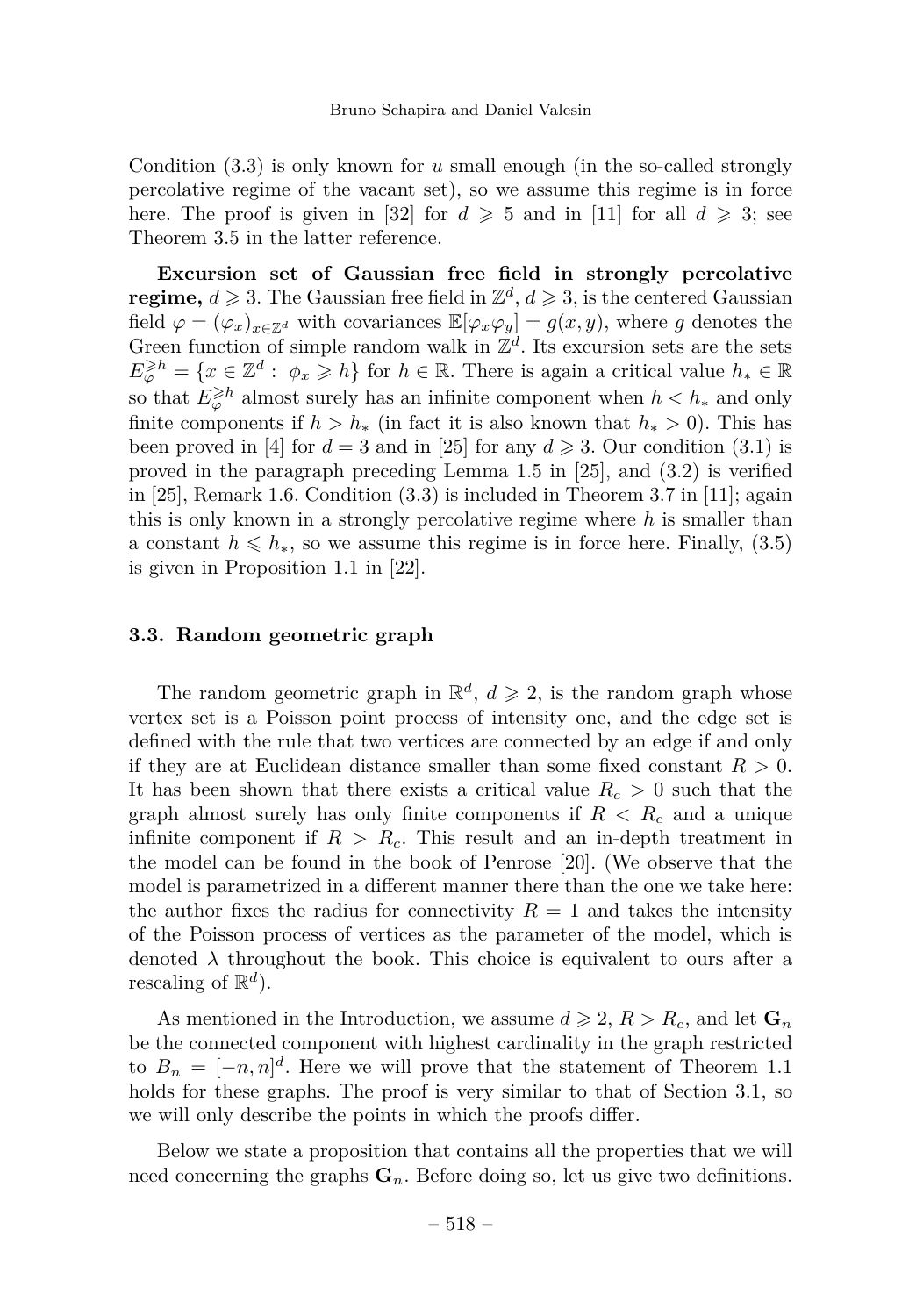Condition [\(3.3\)](#page-8-0) is only known for *u* small enough (in the so-called strongly percolative regime of the vacant set), so we assume this regime is in force here. The proof is given in [\[32\]](#page-24-13) for  $d \ge 5$  and in [\[11\]](#page-23-7) for all  $d \ge 3$ ; see Theorem 3.5 in the latter reference.

**Excursion set of Gaussian free field in strongly percolative regime,**  $d \geq 3$ . The Gaussian free field in  $\mathbb{Z}^d$ ,  $d \geq 3$ , is the centered Gaussian field  $\varphi = (\varphi_x)_{x \in \mathbb{Z}^d}$  with covariances  $\mathbb{E}[\varphi_x \varphi_y] = g(x, y)$ , where g denotes the Green function of simple random walk in  $\mathbb{Z}^d$ . Its excursion sets are the sets  $E^{\geqslant h}_{\varphi} = \{x \in \mathbb{Z}^d : \phi_x \geqslant h\}$  for  $h \in \mathbb{R}$ . There is again a critical value  $h_* \in \mathbb{R}$ so that  $E^{\geqslant h}_{\varphi}$  almost surely has an infinite component when  $h < h_*$  and only finite components if  $h > h_*$  (in fact it is also known that  $h_* > 0$ ). This has been proved in [\[4\]](#page-23-13) for  $d = 3$  and in [\[25\]](#page-24-14) for any  $d \ge 3$ . Our condition [\(3.1\)](#page-7-2) is proved in the paragraph preceding Lemma 1.5 in [\[25\]](#page-24-14), and [\(3.2\)](#page-7-1) is verified in [\[25\]](#page-24-14), Remark 1.6. Condition [\(3.3\)](#page-8-0) is included in Theorem 3.7 in [\[11\]](#page-23-7); again this is only known in a strongly percolative regime where *h* is smaller than a constant  $\bar{h} \leq h_{*}$ , so we assume this regime is in force here. Finally, [\(3.5\)](#page-8-1) is given in Proposition 1.1 in [\[22\]](#page-24-15).

#### **3.3. Random geometric graph**

The random geometric graph in  $\mathbb{R}^d$ ,  $d \geqslant 2$ , is the random graph whose vertex set is a Poisson point process of intensity one, and the edge set is defined with the rule that two vertices are connected by an edge if and only if they are at Euclidean distance smaller than some fixed constant  $R > 0$ . It has been shown that there exists a critical value  $R_c > 0$  such that the graph almost surely has only finite components if  $R < R_c$  and a unique infinite component if  $R > R_c$ . This result and an in-depth treatment in the model can be found in the book of Penrose [\[20\]](#page-24-16). (We observe that the model is parametrized in a different manner there than the one we take here: the author fixes the radius for connectivity  $R = 1$  and takes the intensity of the Poisson process of vertices as the parameter of the model, which is denoted  $\lambda$  throughout the book. This choice is equivalent to ours after a rescaling of  $\mathbb{R}^d$ ).

As mentioned in the Introduction, we assume  $d \geq 2$ ,  $R > R_c$ , and let  $\mathbf{G}_n$ be the connected component with highest cardinality in the graph restricted to  $B_n = [-n, n]^d$ . Here we will prove that the statement of Theorem [1.1](#page-4-0) holds for these graphs. The proof is very similar to that of Section [3.1,](#page-7-3) so we will only describe the points in which the proofs differ.

Below we state a proposition that contains all the properties that we will need concerning the graphs  $\mathbf{G}_n$ . Before doing so, let us give two definitions.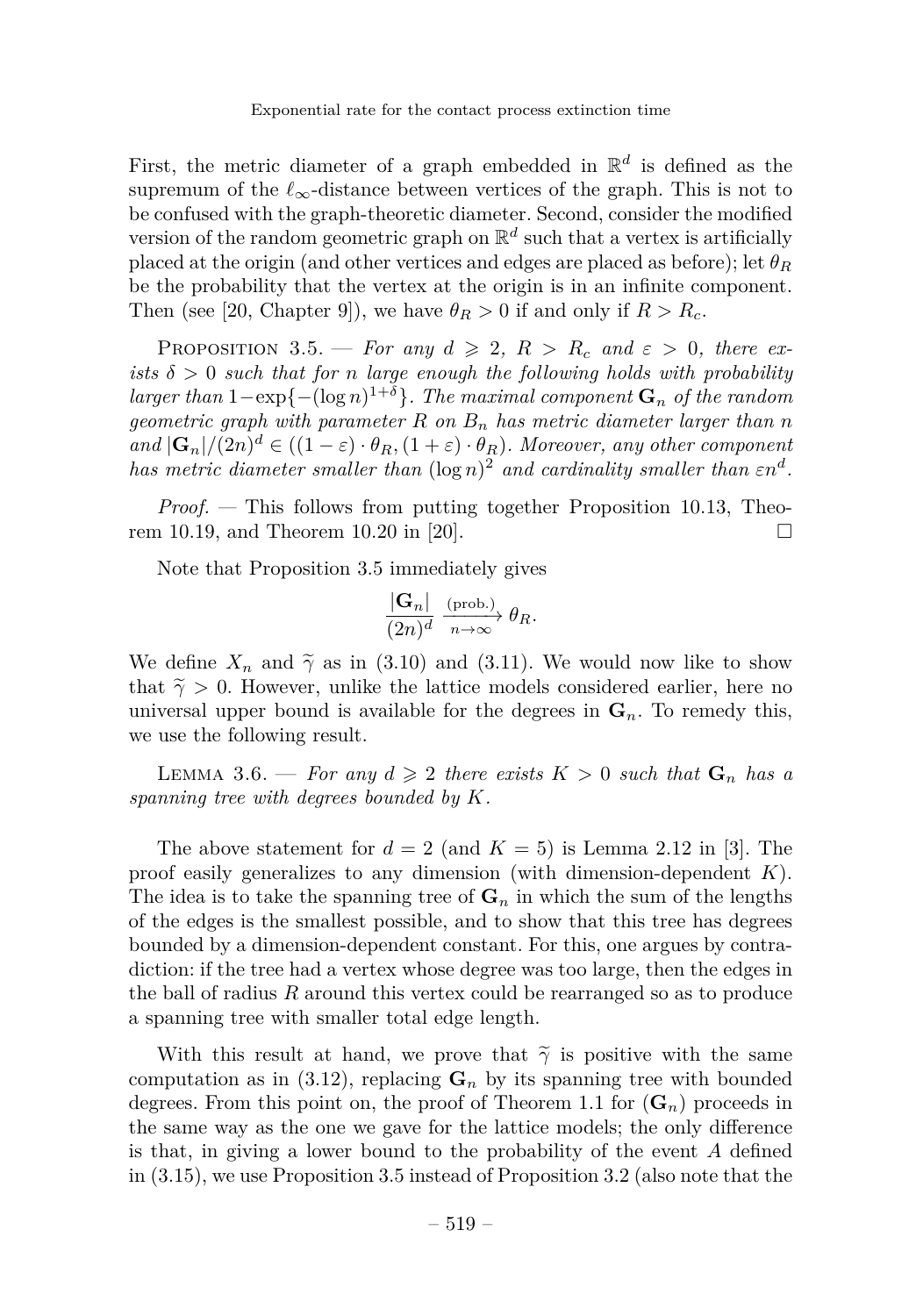First, the metric diameter of a graph embedded in  $\mathbb{R}^d$  is defined as the supremum of the  $\ell_{\infty}$ -distance between vertices of the graph. This is not to be confused with the graph-theoretic diameter. Second, consider the modified version of the random geometric graph on  $\mathbb{R}^d$  such that a vertex is artificially placed at the origin (and other vertices and edges are placed as before); let  $\theta_R$ be the probability that the vertex at the origin is in an infinite component. Then (see [\[20,](#page-24-16) Chapter 9]), we have  $\theta_R > 0$  if and only if  $R > R_c$ .

<span id="page-17-0"></span>PROPOSITION 3.5. — *For any*  $d \geq 2$ ,  $R > R_c$  *and*  $\varepsilon > 0$ , *there exists*  $\delta > 0$  *such that for n large enough the following holds with probability larger than*  $1 - \exp\{-(\log n)^{1+\delta}\}\$ . The maximal component  $\mathbf{G}_n$  of the random *geometric graph with parameter R on B<sup>n</sup> has metric diameter larger than n*  $\int \mathbf{G}_n |f(2n)|^d \in ((1-\varepsilon) \cdot \theta_R, (1+\varepsilon) \cdot \theta_R)$ . Moreover, any other component *has metric diameter smaller than*  $(\log n)^2$  *and cardinality smaller than*  $\epsilon n^d$ .

*Proof. —* This follows from putting together Proposition 10.13, Theo-rem 10.19, and Theorem 10.20 in [\[20\]](#page-24-16).  $\square$ 

Note that Proposition [3.5](#page-17-0) immediately gives

$$
\frac{|\mathbf{G}_n|}{(2n)^d} \xrightarrow[n \to \infty]{\text{(prob.)}} \theta_R.
$$

We define  $X_n$  and  $\tilde{\gamma}$  as in [\(3.10\)](#page-10-0) and [\(3.11\)](#page-10-1). We would now like to show that  $\tilde{\gamma} > 0$ . However, unlike the lattice models considered earlier, here no universal upper bound is available for the degrees in  $\mathbf{G}_n$ . To remedy this, we use the following result.

LEMMA 3.6. — For any  $d \geq 2$  there exists  $K > 0$  such that  $G_n$  has a *spanning tree with degrees bounded by K.*

The above statement for  $d = 2$  (and  $K = 5$ ) is Lemma 2.12 in [\[3\]](#page-23-14). The proof easily generalizes to any dimension (with dimension-dependent *K*). The idea is to take the spanning tree of  $\mathbf{G}_n$  in which the sum of the lengths of the edges is the smallest possible, and to show that this tree has degrees bounded by a dimension-dependent constant. For this, one argues by contradiction: if the tree had a vertex whose degree was too large, then the edges in the ball of radius *R* around this vertex could be rearranged so as to produce a spanning tree with smaller total edge length.

With this result at hand, we prove that  $\tilde{\gamma}$  is positive with the same computation as in [\(3.12\)](#page-10-2), replacing  $\mathbf{G}_n$  by its spanning tree with bounded degrees. From this point on, the proof of Theorem [1.1](#page-4-0) for  $(G_n)$  proceeds in the same way as the one we gave for the lattice models; the only difference is that, in giving a lower bound to the probability of the event *A* defined in [\(3.15\)](#page-11-3), we use Proposition [3.5](#page-17-0) instead of Proposition [3.2](#page-9-0) (also note that the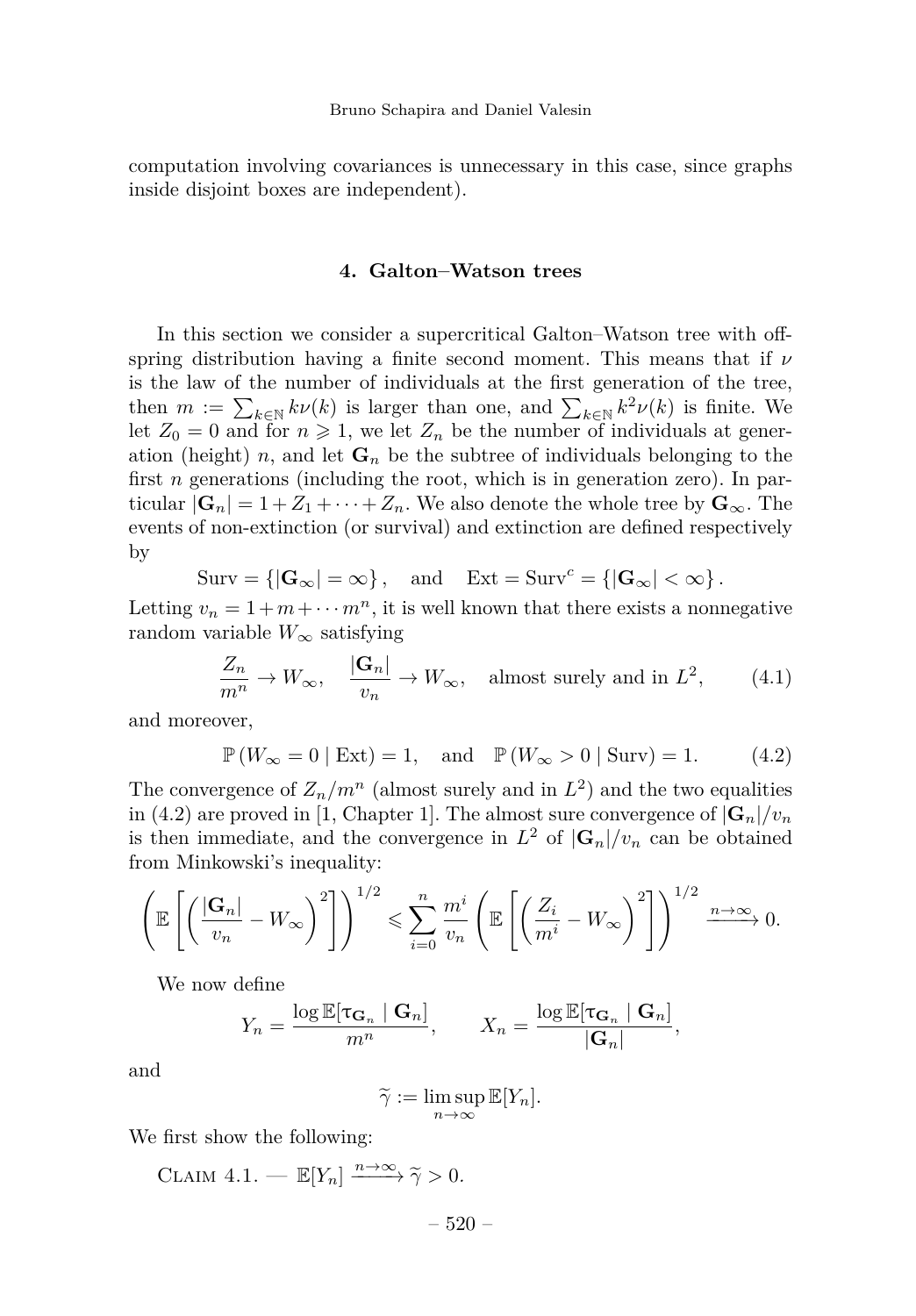computation involving covariances is unnecessary in this case, since graphs inside disjoint boxes are independent).

#### **4. Galton–Watson trees**

<span id="page-18-0"></span>In this section we consider a supercritical Galton–Watson tree with offspring distribution having a finite second moment. This means that if *ν* is the law of the number of individuals at the first generation of the tree, then  $m := \sum_{k \in \mathbb{N}} k\nu(k)$  is larger than one, and  $\sum_{k \in \mathbb{N}} k^2 \nu(k)$  is finite. We let  $Z_0 = 0$  and for  $n \ge 1$ , we let  $Z_n$  be the number of individuals at generation (height) *n*, and let  $\mathbf{G}_n$  be the subtree of individuals belonging to the first *n* generations (including the root, which is in generation zero). In particular  $|\mathbf{G}_n| = 1 + Z_1 + \cdots + Z_n$ . We also denote the whole tree by  $\mathbf{G}_{\infty}$ . The events of non-extinction (or survival) and extinction are defined respectively by

$$
Surv = \{ |\mathbf{G}_{\infty}| = \infty \}, \text{ and } Ext = Surv^c = \{ |\mathbf{G}_{\infty}| < \infty \}.
$$

Letting  $v_n = 1 + m + \cdots + m^n$ , it is well known that there exists a nonnegative random variable  $W_{\infty}$  satisfying

<span id="page-18-2"></span>
$$
\frac{Z_n}{m^n} \to W_{\infty}, \quad \frac{|\mathbf{G}_n|}{v_n} \to W_{\infty}, \quad \text{almost surely and in } L^2,
$$
 (4.1)

and moreover,

<span id="page-18-1"></span>
$$
\mathbb{P}(W_{\infty} = 0 | \text{Ext}) = 1
$$
, and  $\mathbb{P}(W_{\infty} > 0 | \text{Surv}) = 1$ . (4.2)

The convergence of  $Z_n/m^n$  (almost surely and in  $L^2$ ) and the two equalities in [\(4.2\)](#page-18-1) are proved in [\[1,](#page-23-15) Chapter 1]. The almost sure convergence of  $|\mathbf{G}_n|/v_n$ is then immediate, and the convergence in  $L^2$  of  $|\mathbf{G}_n|/v_n$  can be obtained from Minkowski's inequality:

$$
\left(\mathbb{E}\left[\left(\frac{|\mathbf{G}_n|}{v_n} - W_\infty\right)^2\right]\right)^{1/2} \leqslant \sum_{i=0}^n \frac{m^i}{v_n} \left(\mathbb{E}\left[\left(\frac{Z_i}{m^i} - W_\infty\right)^2\right]\right)^{1/2} \xrightarrow{n \to \infty} 0.
$$

We now define

$$
Y_n = \frac{\log \mathbb{E}[\tau_{\mathbf{G}_n} | \mathbf{G}_n]}{m^n}, \qquad X_n = \frac{\log \mathbb{E}[\tau_{\mathbf{G}_n} | \mathbf{G}_n]}{|\mathbf{G}_n|},
$$

and

$$
\widetilde{\gamma}:=\limsup_{n\to\infty}\mathbb{E}[Y_n].
$$

We first show the following:

CLAIM  $4.1.$  —  $\mathbb{E}[Y_n] \xrightarrow{n \to \infty} \tilde{\gamma} > 0.$ 

– 520 –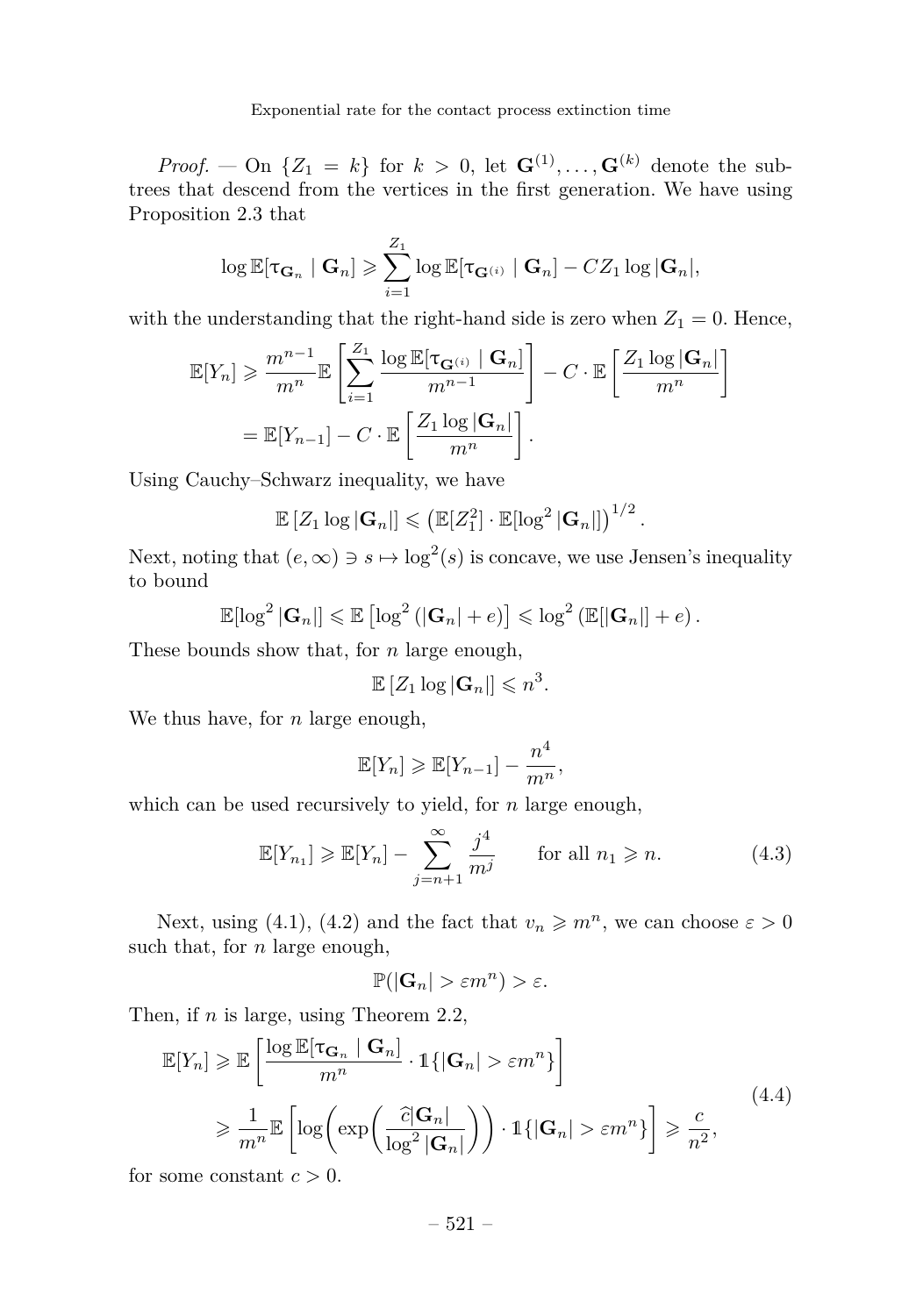*Proof.* — On  $\{Z_1 = k\}$  for  $k > 0$ , let  $\mathbf{G}^{(1)}, \ldots, \mathbf{G}^{(k)}$  denote the subtrees that descend from the vertices in the first generation. We have using Proposition [2.3](#page-6-0) that

$$
\log \mathbb{E}[\tau_{\mathbf{G}_n} | \mathbf{G}_n] \geqslant \sum_{i=1}^{Z_1} \log \mathbb{E}[\tau_{\mathbf{G}^{(i)}} | \mathbf{G}_n] - CZ_1 \log |\mathbf{G}_n|,
$$

with the understanding that the right-hand side is zero when  $Z_1 = 0$ . Hence,

$$
\mathbb{E}[Y_n] \geq \frac{m^{n-1}}{m^n} \mathbb{E}\left[\sum_{i=1}^{Z_1} \frac{\log \mathbb{E}[\tau_{\mathbf{G}^{(i)}} \mid \mathbf{G}_n]}{m^{n-1}}\right] - C \cdot \mathbb{E}\left[\frac{Z_1 \log |\mathbf{G}_n|}{m^n}\right]
$$

$$
= \mathbb{E}[Y_{n-1}] - C \cdot \mathbb{E}\left[\frac{Z_1 \log |\mathbf{G}_n|}{m^n}\right].
$$

Using Cauchy–Schwarz inequality, we have

$$
\mathbb{E}\left[Z_1 \log |\mathbf{G}_n|\right] \leqslant \left(\mathbb{E}[Z_1^2] \cdot \mathbb{E}[\log^2 |\mathbf{G}_n|]\right)^{1/2}.
$$

Next, noting that  $(e, \infty) \ni s \mapsto \log^2(s)$  is concave, we use Jensen's inequality to bound

$$
\mathbb{E}[\log^2 |\mathbf{G}_n|] \leq \mathbb{E}[\log^2 (|\mathbf{G}_n| + e)] \leq \log^2 (\mathbb{E}[\mathbf{G}_n|] + e).
$$

These bounds show that, for *n* large enough,

$$
\mathbb{E}\left[Z_1 \log |\mathbf{G}_n|\right] \leqslant n^3.
$$

We thus have, for *n* large enough,

$$
\mathbb{E}[Y_n] \geq \mathbb{E}[Y_{n-1}] - \frac{n^4}{m^n},
$$

which can be used recursively to yield, for *n* large enough,

<span id="page-19-0"></span>
$$
\mathbb{E}[Y_{n_1}] \ge \mathbb{E}[Y_n] - \sum_{j=n+1}^{\infty} \frac{j^4}{m^j} \quad \text{for all } n_1 \ge n.
$$
 (4.3)

Next, using [\(4.1\)](#page-18-2), [\(4.2\)](#page-18-1) and the fact that  $v_n \geqslant m^n$ , we can choose  $\varepsilon > 0$ such that, for *n* large enough,

$$
\mathbb{P}(|\mathbf{G}_n| > \varepsilon m^n) > \varepsilon.
$$

Then, if *n* is large, using Theorem [2.2,](#page-6-2)

<span id="page-19-1"></span>
$$
\mathbb{E}[Y_n] \geq \mathbb{E}\left[\frac{\log \mathbb{E}[\tau_{\mathbf{G}_n} | \mathbf{G}_n]}{m^n} \cdot \mathbb{1}\{|\mathbf{G}_n| > \varepsilon m^n\}\right]
$$
\n
$$
\geq \frac{1}{m^n} \mathbb{E}\left[\log\left(\exp\left(\frac{\partial |\mathbf{G}_n|}{\log^2 |\mathbf{G}_n|}\right)\right) \cdot \mathbb{1}\{|\mathbf{G}_n| > \varepsilon m^n\}\right] \geq \frac{c}{n^2},\tag{4.4}
$$

for some constant  $c > 0$ .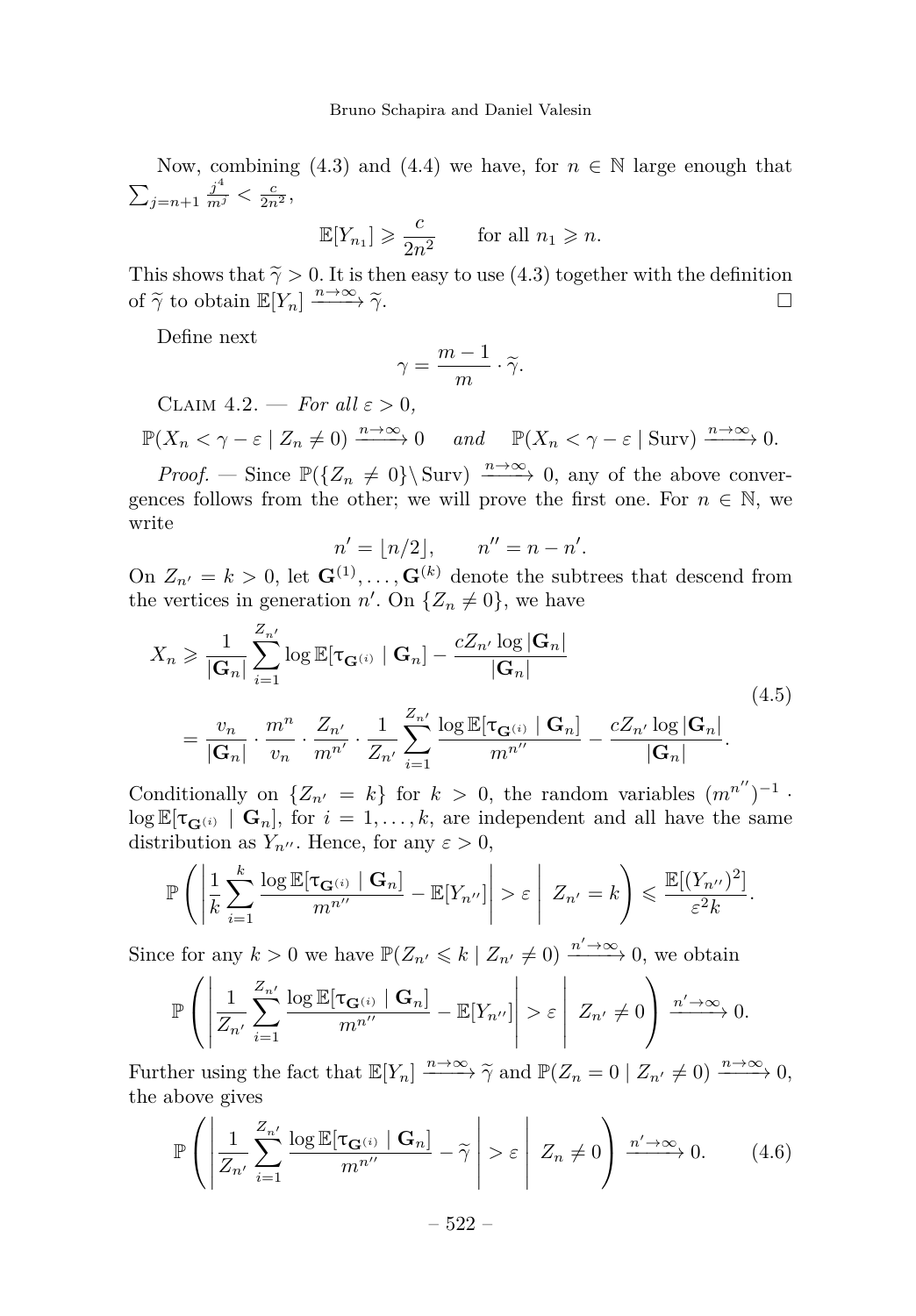Now, combining [\(4.3\)](#page-19-0) and [\(4.4\)](#page-19-1) we have, for  $n \in \mathbb{N}$  large enough that  $\sum_{j=n+1} \frac{j^4}{m^j} < \frac{c}{2n^2},$ 

$$
\mathbb{E}[Y_{n_1}] \geqslant \frac{c}{2n^2} \qquad \text{for all } n_1 \geqslant n.
$$

This shows that  $\tilde{\gamma} > 0$ . It is then easy to use [\(4.3\)](#page-19-0) together with the definition of  $\tilde{\gamma}$  to obtain  $\mathbb{E}[Y_n] \xrightarrow{n \to \infty} \tilde{\gamma}$ . of  $\widetilde{\gamma}$  to obtain  $\mathbb{E}[Y_n] \xrightarrow{n \to \infty} \widetilde{\gamma}$ . *n*→∞ *γ*e. □

Define next

$$
\gamma = \frac{m-1}{m} \cdot \widetilde{\gamma}.
$$

<span id="page-20-2"></span>CLAIM  $4.2.$  — *For all*  $\varepsilon > 0$ ,

$$
\mathbb{P}(X_n < \gamma - \varepsilon \mid Z_n \neq 0) \xrightarrow{n \to \infty} 0 \quad \text{and} \quad \mathbb{P}(X_n < \gamma - \varepsilon \mid \text{Surv}) \xrightarrow{n \to \infty} 0.
$$

*Proof.* — Since  $\mathbb{P}({Z_n \neq 0} \setminus \text{Surv}) \xrightarrow{n \to \infty} 0$ , any of the above convergences follows from the other; we will prove the first one. For  $n \in \mathbb{N}$ , we write

$$
n' = \lfloor n/2 \rfloor, \qquad n'' = n - n'.
$$

On  $Z_{n'} = k > 0$ , let  $\mathbf{G}^{(1)}, \ldots, \mathbf{G}^{(k)}$  denote the subtrees that descend from the vertices in generation  $n'$ . On  $\{Z_n \neq 0\}$ , we have

<span id="page-20-0"></span>
$$
X_n \geqslant \frac{1}{|\mathbf{G}_n|} \sum_{i=1}^{Z_{n'}} \log \mathbb{E}[\tau_{\mathbf{G}^{(i)}} \mid \mathbf{G}_n] - \frac{cZ_{n'} \log |\mathbf{G}_n|}{|\mathbf{G}_n|}
$$
  
= 
$$
\frac{v_n}{|\mathbf{G}_n|} \cdot \frac{m^n}{v_n} \cdot \frac{Z_{n'}}{m^{n'}} \cdot \frac{1}{Z_{n'}} \sum_{i=1}^{Z_{n'}} \frac{\log \mathbb{E}[\tau_{\mathbf{G}^{(i)}} \mid \mathbf{G}_n]}{m^{n''}} - \frac{cZ_{n'} \log |\mathbf{G}_n|}{|\mathbf{G}_n|}. \tag{4.5}
$$

Conditionally on  $\{Z_{n'} = k\}$  for  $k > 0$ , the random variables  $(m^{n''})^{-1}$ .  $\log \mathbb{E}[\tau_{\mathbf{G}^{(i)}} | \mathbf{G}_n]$ , for  $i = 1, \ldots, k$ , are independent and all have the same distribution as  $Y_{n''}$ . Hence, for any  $\varepsilon > 0$ ,

$$
\mathbb{P}\left(\left|\frac{1}{k}\sum_{i=1}^k \frac{\log \mathbb{E}[\tau_{\mathbf{G}^{(i)}} \mid \mathbf{G}_n]}{m^{n''}} - \mathbb{E}[Y_{n''}]\right| > \varepsilon \left| Z_{n'} = k \right) \leqslant \frac{\mathbb{E}[(Y_{n''})^2]}{\varepsilon^2 k}.
$$

Since for any  $k > 0$  we have  $\mathbb{P}(Z_{n'} \leq k \mid Z_{n'} \neq 0) \xrightarrow{n' \to \infty} 0$ , we obtain

$$
\mathbb{P}\left(\left|\frac{1}{Z_{n'}}\sum_{i=1}^{Z_{n'}}\frac{\log \mathbb{E}[\tau_{\mathbf{G}^{(i)}} \mid \mathbf{G}_n]}{m^{n''}} - \mathbb{E}[Y_{n''}]\right| > \varepsilon\left|Z_{n'} \neq 0\right) \xrightarrow{n' \to \infty} 0.
$$

Further using the fact that  $\mathbb{E}[Y_n] \xrightarrow{n \to \infty} \tilde{\gamma}$  and  $\mathbb{P}(Z_n = 0 \mid Z_{n'} \neq 0) \xrightarrow{n \to \infty} 0$ , the obove gives the above gives

<span id="page-20-1"></span>
$$
\mathbb{P}\left(\left|\frac{1}{Z_{n'}}\sum_{i=1}^{Z_{n'}}\frac{\log \mathbb{E}[\tau_{\mathbf{G}^{(i)}} \mid \mathbf{G}_n]}{m^{n''}} - \widetilde{\gamma}\right| > \varepsilon \mid Z_n \neq 0\right) \xrightarrow{n' \to \infty} 0. \tag{4.6}
$$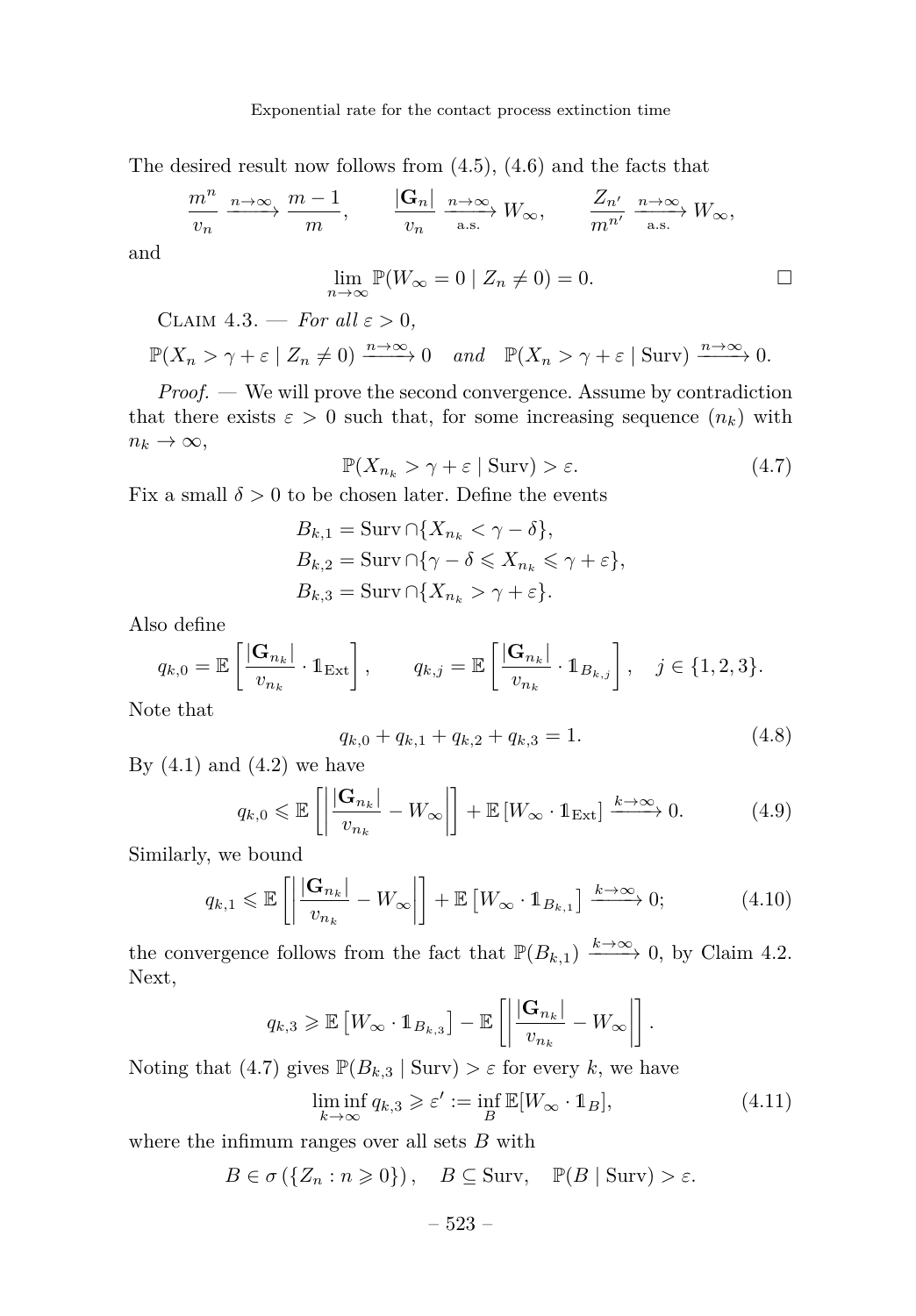The desired result now follows from [\(4.5\)](#page-20-0), [\(4.6\)](#page-20-1) and the facts that

$$
\frac{m^n}{v_n} \xrightarrow{n \to \infty} \frac{m-1}{m}, \qquad \frac{|\mathbf{G}_n|}{v_n} \xrightarrow{n \to \infty} W_{\infty}, \qquad \frac{Z_{n'}}{m^{n'}} \xrightarrow{n \to \infty} W_{\infty},
$$

and

$$
\lim_{n \to \infty} \mathbb{P}(W_{\infty} = 0 \mid Z_n \neq 0) = 0.
$$

<span id="page-21-5"></span>CLAIM  $4.3.$  — *For all*  $\varepsilon > 0$ ,

$$
\mathbb{P}(X_n > \gamma + \varepsilon \mid Z_n \neq 0) \xrightarrow{n \to \infty} 0 \quad \text{and} \quad \mathbb{P}(X_n > \gamma + \varepsilon \mid \text{Surv}) \xrightarrow{n \to \infty} 0.
$$

*Proof. —* We will prove the second convergence. Assume by contradiction that there exists  $\varepsilon > 0$  such that, for some increasing sequence  $(n_k)$  with  $n_k \to \infty$ ,

<span id="page-21-0"></span>
$$
\mathbb{P}(X_{n_k} > \gamma + \varepsilon \mid \text{Surv}) > \varepsilon. \tag{4.7}
$$

Fix a small  $\delta > 0$  to be chosen later. Define the events

$$
B_{k,1} = \text{Surv} \cap \{X_{n_k} < \gamma - \delta\},
$$
\n
$$
B_{k,2} = \text{Surv} \cap \{\gamma - \delta \leq X_{n_k} \leq \gamma + \varepsilon\},
$$
\n
$$
B_{k,3} = \text{Surv} \cap \{X_{n_k} > \gamma + \varepsilon\}.
$$

Also define

$$
q_{k,0} = \mathbb{E}\left[\frac{|\mathbf{G}_{n_k}|}{v_{n_k}} \cdot \mathbb{1}_{\text{Ext}}\right], \qquad q_{k,j} = \mathbb{E}\left[\frac{|\mathbf{G}_{n_k}|}{v_{n_k}} \cdot \mathbb{1}_{B_{k,j}}\right], \quad j \in \{1, 2, 3\}.
$$

Note that

<span id="page-21-1"></span>
$$
q_{k,0} + q_{k,1} + q_{k,2} + q_{k,3} = 1.
$$
\n
$$
(4.8)
$$

By  $(4.1)$  and  $(4.2)$  we have

<span id="page-21-2"></span>
$$
q_{k,0} \leq \mathbb{E}\left[\left|\frac{|\mathbf{G}_{n_k}|}{v_{n_k}} - W_{\infty}\right|\right] + \mathbb{E}\left[W_{\infty} \cdot \mathbb{1}_{\text{Ext}}\right] \xrightarrow{k \to \infty} 0. \tag{4.9}
$$

Similarly, we bound

<span id="page-21-3"></span>
$$
q_{k,1} \leq \mathbb{E}\left[\left|\frac{|\mathbf{G}_{n_k}|}{v_{n_k}} - W_{\infty}\right|\right] + \mathbb{E}\left[W_{\infty} \cdot \mathbb{1}_{B_{k,1}}\right] \xrightarrow{k \to \infty} 0; \tag{4.10}
$$

the convergence follows from the fact that  $\mathbb{P}(B_{k,1}) \xrightarrow{k \to \infty} 0$ , by Claim [4.2.](#page-20-2) Next,

$$
q_{k,3} \geqslant \mathbb{E}\left[W_{\infty} \cdot \mathbb{1}_{B_{k,3}}\right] - \mathbb{E}\left[\left|\frac{|\mathbf{G}_{n_k}|}{v_{n_k}} - W_{\infty}\right|\right].
$$

Noting that [\(4.7\)](#page-21-0) gives  $\mathbb{P}(B_{k,3} | \text{Surv}) > \varepsilon$  for every k, we have

<span id="page-21-4"></span>
$$
\liminf_{k \to \infty} q_{k,3} \geqslant \varepsilon' := \inf_{B} \mathbb{E}[W_{\infty} \cdot \mathbb{1}_B],\tag{4.11}
$$

where the infimum ranges over all sets *B* with

 $B \in \sigma (\{Z_n : n \geq 0\}), \quad B \subseteq \text{Surv}, \quad \mathbb{P}(B \mid \text{Surv}) > \varepsilon.$ 

– 523 –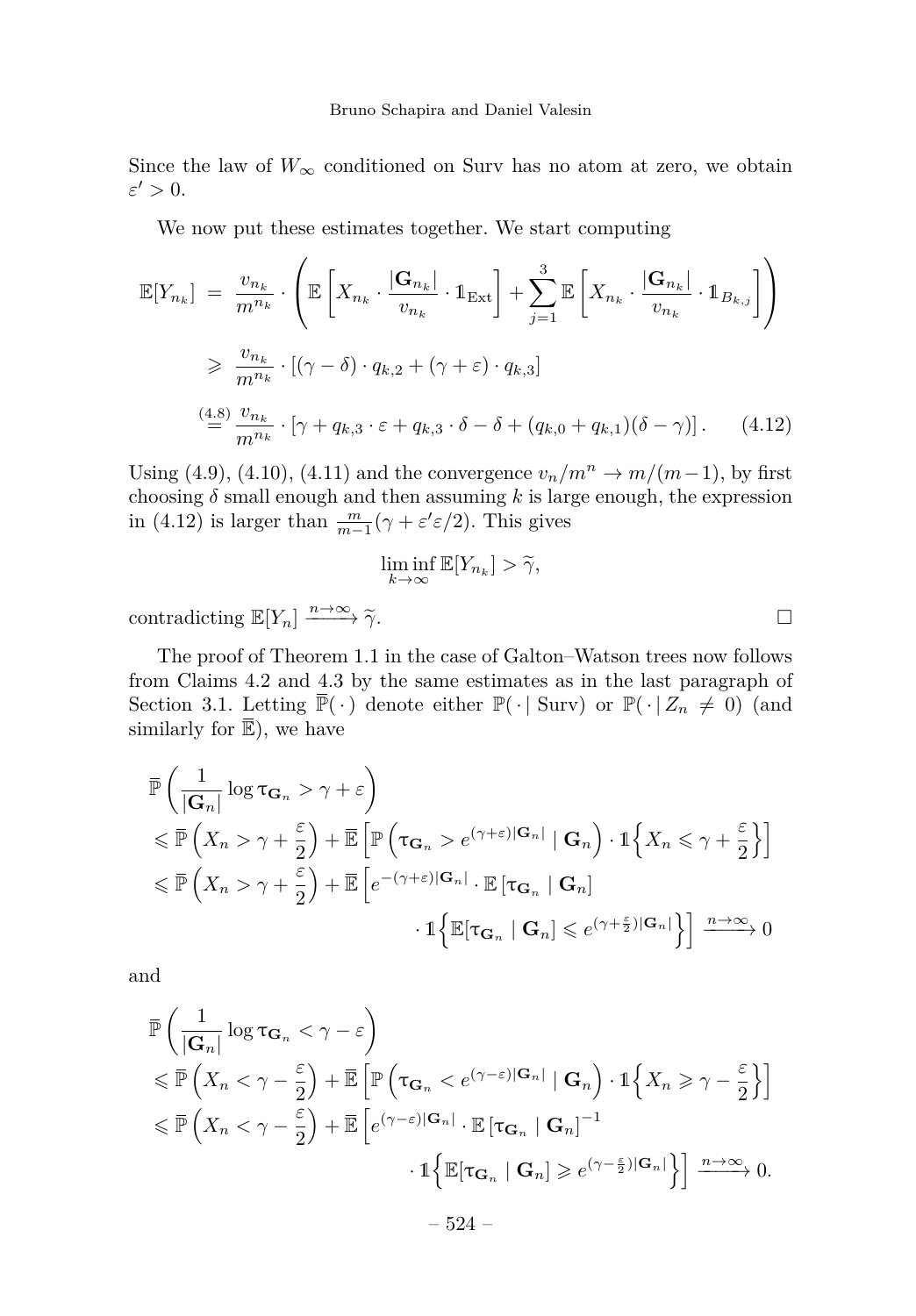Since the law of  $W_{\infty}$  conditioned on Surv has no atom at zero, we obtain  $\varepsilon' > 0$ .

We now put these estimates together. We start computing

$$
\mathbb{E}[Y_{n_k}] = \frac{v_{n_k}}{m^{n_k}} \cdot \left( \mathbb{E}\left[X_{n_k} \cdot \frac{|\mathbf{G}_{n_k}|}{v_{n_k}} \cdot \mathbb{1}_{\text{Ext}}\right] + \sum_{j=1}^3 \mathbb{E}\left[X_{n_k} \cdot \frac{|\mathbf{G}_{n_k}|}{v_{n_k}} \cdot \mathbb{1}_{B_{k,j}}\right] \right)
$$
  
\n
$$
\geq \frac{v_{n_k}}{m^{n_k}} \cdot [(\gamma - \delta) \cdot q_{k,2} + (\gamma + \varepsilon) \cdot q_{k,3}]
$$
  
\n
$$
\stackrel{(4.8)}{=} \frac{v_{n_k}}{m^{n_k}} \cdot [\gamma + q_{k,3} \cdot \varepsilon + q_{k,3} \cdot \delta - \delta + (q_{k,0} + q_{k,1})(\delta - \gamma)].
$$
 (4.12)

Using [\(4.9\)](#page-21-2), [\(4.10\)](#page-21-3), [\(4.11\)](#page-21-4) and the convergence  $v_n/m^n \to m/(m-1)$ , by first choosing  $\delta$  small enough and then assuming  $k$  is large enough, the expression in [\(4.12\)](#page-22-0) is larger than  $\frac{m}{m-1}(\gamma + \varepsilon' \varepsilon/2)$ . This gives

$$
\liminf_{k \to \infty} \mathbb{E}[Y_{n_k}] > \widetilde{\gamma},
$$

contradicting  $\mathbb{E}[Y_n] \xrightarrow{n \to \infty} \tilde{\gamma}$ .

The proof of Theorem [1.1](#page-4-0) in the case of Galton–Watson trees now follows from Claims [4.2](#page-20-2) and [4.3](#page-21-5) by the same estimates as in the last paragraph of Section [3.1.](#page-7-3) Letting  $\overline{\mathbb{P}}(\cdot)$  denote either  $\mathbb{P}(\cdot | \text{Surv})$  or  $\mathbb{P}(\cdot | Z_n \neq 0)$  (and similarly for  $\overline{\mathbb{E}}$ ), we have

$$
\begin{split} &\bar{\mathbb{P}}\left(\frac{1}{|\mathbf{G}_n|}\log \tau_{\mathbf{G}_n} > \gamma + \varepsilon\right) \\ &\leqslant \bar{\mathbb{P}}\left(X_n > \gamma + \frac{\varepsilon}{2}\right) + \bar{\mathbb{E}}\left[\mathbb{P}\left(\tau_{\mathbf{G}_n} > e^{(\gamma + \varepsilon)|\mathbf{G}_n|} \mid \mathbf{G}_n\right) \cdot \mathbb{1}\left\{X_n \leqslant \gamma + \frac{\varepsilon}{2}\right\}\right] \\ &\leqslant \bar{\mathbb{P}}\left(X_n > \gamma + \frac{\varepsilon}{2}\right) + \bar{\mathbb{E}}\left[e^{-(\gamma + \varepsilon)|\mathbf{G}_n|} \cdot \mathbb{E}\left[\tau_{\mathbf{G}_n} \mid \mathbf{G}_n\right] \\ &\qquad \cdot \mathbb{1}\left\{\mathbb{E}[\tau_{\mathbf{G}_n} \mid \mathbf{G}_n] \leqslant e^{(\gamma + \frac{\varepsilon}{2})|\mathbf{G}_n|}\right\}\right] \xrightarrow{n \to \infty} 0 \end{split}
$$

and

$$
\begin{split} & \bar{\mathbb{P}} \left( \frac{1}{|\mathbf{G}_n|} \log \tau_{\mathbf{G}_n} < \gamma - \varepsilon \right) \\ &\leqslant \bar{\mathbb{P}} \left( X_n < \gamma - \frac{\varepsilon}{2} \right) + \bar{\mathbb{E}} \left[ \mathbb{P} \left( \tau_{\mathbf{G}_n} < e^{(\gamma - \varepsilon)|\mathbf{G}_n|} \mid \mathbf{G}_n \right) \cdot \mathbb{1} \left\{ X_n \geqslant \gamma - \frac{\varepsilon}{2} \right\} \right] \\ &\leqslant \bar{\mathbb{P}} \left( X_n < \gamma - \frac{\varepsilon}{2} \right) + \bar{\mathbb{E}} \left[ e^{(\gamma - \varepsilon)|\mathbf{G}_n|} \cdot \mathbb{E} \left[ \tau_{\mathbf{G}_n} \mid \mathbf{G}_n \right]^{-1} \\ &\qquad \cdot \mathbb{1} \left\{ \mathbb{E} \left[ \tau_{\mathbf{G}_n} \mid \mathbf{G}_n \right] \geqslant e^{(\gamma - \frac{\varepsilon}{2})|\mathbf{G}_n|} \right\} \right] \xrightarrow{n \to \infty} 0. \end{split}
$$

<span id="page-22-0"></span>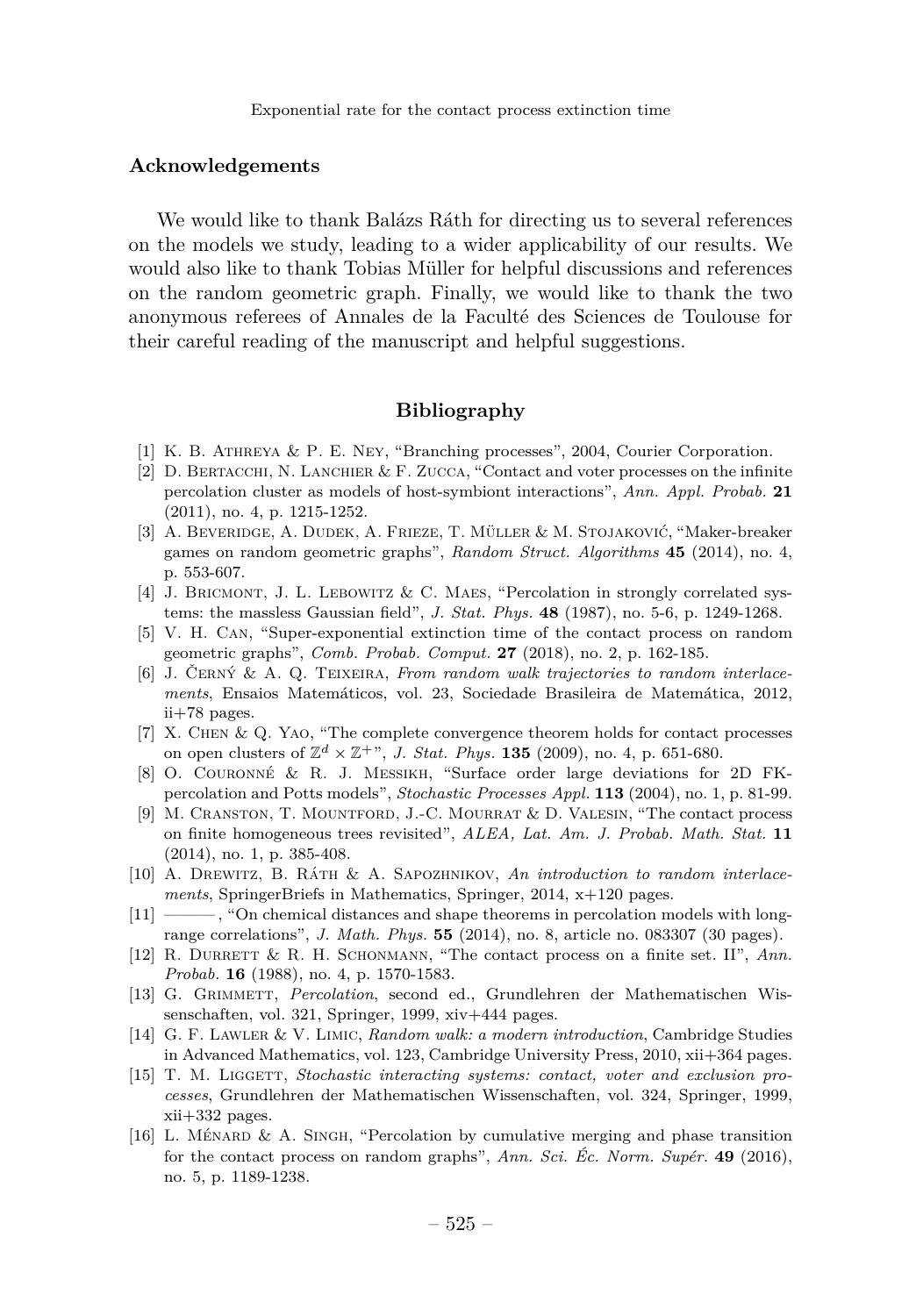#### **Acknowledgements**

We would like to thank Balázs Ráth for directing us to several references on the models we study, leading to a wider applicability of our results. We would also like to thank Tobias Müller for helpful discussions and references on the random geometric graph. Finally, we would like to thank the two anonymous referees of Annales de la Faculté des Sciences de Toulouse for their careful reading of the manuscript and helpful suggestions.

## **Bibliography**

- <span id="page-23-15"></span>[1] K. B. Athreya & P. E. Ney, "Branching processes", 2004, Courier Corporation.
- <span id="page-23-3"></span>[2]  $D.$  BERTACCHI, N. LANCHIER & F. ZUCCA, "Contact and voter processes on the infinite percolation cluster as models of host-symbiont interactions", *Ann. Appl. Probab.* **21** (2011), no. 4, p. 1215-1252.
- <span id="page-23-14"></span>[3] A. Beveridge, A. Dudek, A. Frieze, T. Müller & M. Stojaković, "Maker-breaker games on random geometric graphs", *Random Struct. Algorithms* **45** (2014), no. 4, p. 553-607.
- <span id="page-23-13"></span>[4] J. Bricmont, J. L. Lebowitz & C. Maes, "Percolation in strongly correlated systems: the massless Gaussian field", *J. Stat. Phys.* **48** (1987), no. 5-6, p. 1249-1268.
- <span id="page-23-6"></span>[5] V. H. Can, "Super-exponential extinction time of the contact process on random geometric graphs", *Comb. Probab. Comput.* **27** (2018), no. 2, p. 162-185.
- <span id="page-23-10"></span>[6] J. Černý & A. Q. Teixeira, *From random walk trajectories to random interlacements*, Ensaios Matemáticos, vol. 23, Sociedade Brasileira de Matemática, 2012, ii+78 pages.
- <span id="page-23-4"></span>[7] X. Chen & Q. Yao, "The complete convergence theorem holds for contact processes on open clusters of  $\mathbb{Z}^d \times \mathbb{Z}^+$ ", *J. Stat. Phys.* **135** (2009), no. 4, p. 651-680.
- <span id="page-23-9"></span>[8] O. Couronné & R. J. Messikh, "Surface order large deviations for 2D FKpercolation and Potts models", *Stochastic Processes Appl.* **113** (2004), no. 1, p. 81-99.
- <span id="page-23-1"></span>[9] M. Cranston, T. Mountford, J.-C. Mourrat & D. Valesin, "The contact process on finite homogeneous trees revisited", *ALEA, Lat. Am. J. Probab. Math. Stat.* **11** (2014), no. 1, p. 385-408.
- <span id="page-23-11"></span>[10] A. Drewitz, B. Ráth & A. Sapozhnikov, *An introduction to random interlacements*, SpringerBriefs in Mathematics, Springer, 2014, x+120 pages.
- <span id="page-23-7"></span>[11] ——— , "On chemical distances and shape theorems in percolation models with longrange correlations", *J. Math. Phys.* **55** (2014), no. 8, article no. 083307 (30 pages).
- <span id="page-23-2"></span>[12] R. DURRETT & R. H. SCHONMANN, "The contact process on a finite set. II", Ann. *Probab.* **16** (1988), no. 4, p. 1570-1583.
- <span id="page-23-8"></span>[13] G. Grimmett, *Percolation*, second ed., Grundlehren der Mathematischen Wissenschaften, vol. 321, Springer, 1999, xiv+444 pages.
- <span id="page-23-12"></span>[14] G. F. Lawler & V. Limic, *Random walk: a modern introduction*, Cambridge Studies in Advanced Mathematics, vol. 123, Cambridge University Press, 2010, xii+364 pages.
- <span id="page-23-0"></span>[15] T. M. LIGGETT, *Stochastic interacting systems: contact, voter and exclusion processes*, Grundlehren der Mathematischen Wissenschaften, vol. 324, Springer, 1999, xii+332 pages.
- <span id="page-23-5"></span>[16] L. MÉNARD & A. SINGH, "Percolation by cumulative merging and phase transition for the contact process on random graphs", *Ann. Sci. Éc. Norm. Supér.* **49** (2016), no. 5, p. 1189-1238.